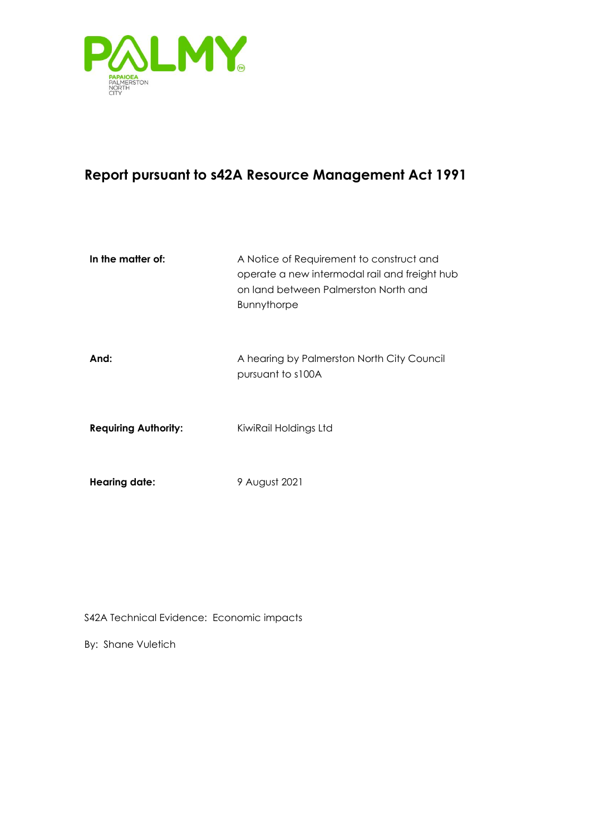

# **Report pursuant to s42A Resource Management Act 1991**

| In the matter of:           | A Notice of Requirement to construct and<br>operate a new intermodal rail and freight hub<br>on land between Palmerston North and<br><b>Bunnythorpe</b> |
|-----------------------------|---------------------------------------------------------------------------------------------------------------------------------------------------------|
| And:                        | A hearing by Palmerston North City Council<br>pursuant to s100A                                                                                         |
| <b>Requiring Authority:</b> | KiwiRail Holdings Ltd                                                                                                                                   |
| Hearing date:               | 9 August 2021                                                                                                                                           |

S42A Technical Evidence: Economic impacts

By: Shane Vuletich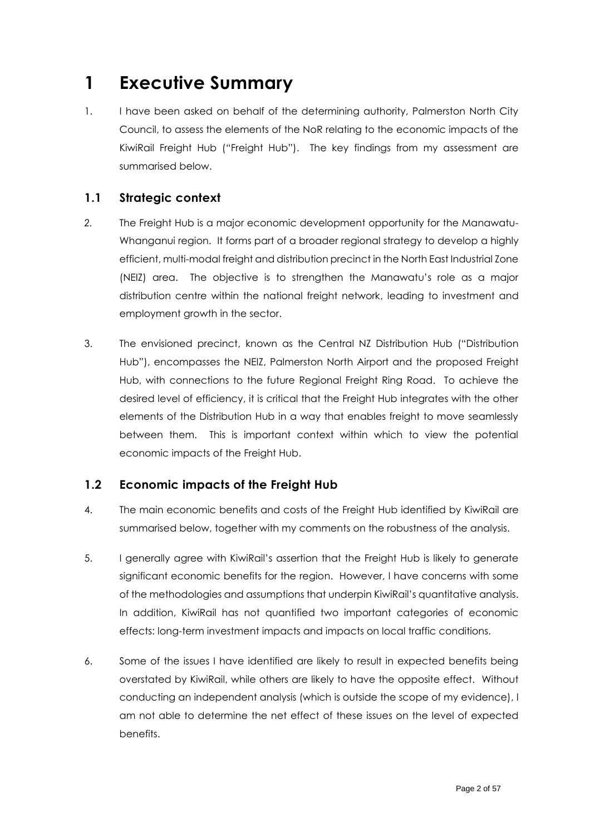# <span id="page-1-0"></span>**1 Executive Summary**

1. I have been asked on behalf of the determining authority, Palmerston North City Council, to assess the elements of the NoR relating to the economic impacts of the KiwiRail Freight Hub ("Freight Hub"). The key findings from my assessment are summarised below.

## <span id="page-1-1"></span>**1.1 Strategic context**

- *2.* The Freight Hub is a major economic development opportunity for the Manawatu-Whanganui region. It forms part of a broader regional strategy to develop a highly efficient, multi-modal freight and distribution precinct in the North East Industrial Zone (NEIZ) area. The objective is to strengthen the Manawatu's role as a major distribution centre within the national freight network, leading to investment and employment growth in the sector.
- 3. The envisioned precinct, known as the Central NZ Distribution Hub ("Distribution Hub"), encompasses the NEIZ, Palmerston North Airport and the proposed Freight Hub, with connections to the future Regional Freight Ring Road. To achieve the desired level of efficiency, it is critical that the Freight Hub integrates with the other elements of the Distribution Hub in a way that enables freight to move seamlessly between them. This is important context within which to view the potential economic impacts of the Freight Hub.

## <span id="page-1-2"></span>**1.2 Economic impacts of the Freight Hub**

- 4. The main economic benefits and costs of the Freight Hub identified by KiwiRail are summarised below, together with my comments on the robustness of the analysis.
- 5. I generally agree with KiwiRail's assertion that the Freight Hub is likely to generate significant economic benefits for the region. However, I have concerns with some of the methodologies and assumptions that underpin KiwiRail's quantitative analysis. In addition, KiwiRail has not quantified two important categories of economic effects: long-term investment impacts and impacts on local traffic conditions.
- 6. Some of the issues I have identified are likely to result in expected benefits being overstated by KiwiRail, while others are likely to have the opposite effect. Without conducting an independent analysis (which is outside the scope of my evidence), I am not able to determine the net effect of these issues on the level of expected benefits.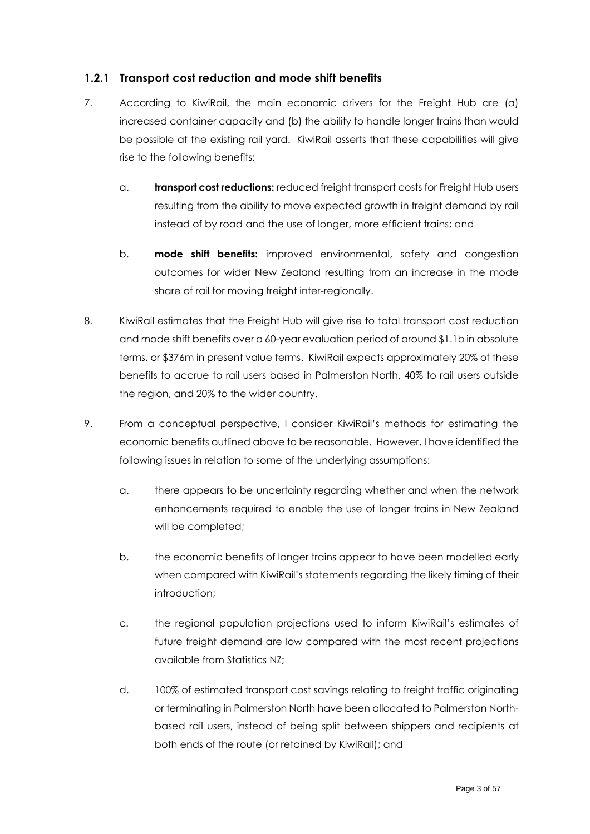#### <span id="page-2-0"></span>**1.2.1 Transport cost reduction and mode shift benefits**

- 7. According to KiwiRail, the main economic drivers for the Freight Hub are (a) increased container capacity and (b) the ability to handle longer trains than would be possible at the existing rail yard. KiwiRail asserts that these capabilities will give rise to the following benefits:
	- a. **transport cost reductions:** reduced freight transport costs for Freight Hub users resulting from the ability to move expected growth in freight demand by rail instead of by road and the use of longer, more efficient trains; and
	- b. **mode shift benefits:** improved environmental, safety and congestion outcomes for wider New Zealand resulting from an increase in the mode share of rail for moving freight inter-regionally.
- 8. KiwiRail estimates that the Freight Hub will give rise to total transport cost reduction and mode shift benefits over a 60-year evaluation period of around \$1.1b in absolute terms, or \$376m in present value terms. KiwiRail expects approximately 20% of these benefits to accrue to rail users based in Palmerston North, 40% to rail users outside the region, and 20% to the wider country.
- 9. From a conceptual perspective, I consider KiwiRail's methods for estimating the economic benefits outlined above to be reasonable. However, I have identified the following issues in relation to some of the underlying assumptions:
	- a. there appears to be uncertainty regarding whether and when the network enhancements required to enable the use of longer trains in New Zealand will be completed;
	- b. the economic benefits of longer trains appear to have been modelled early when compared with KiwiRail's statements regarding the likely timing of their introduction;
	- c. the regional population projections used to inform KiwiRail's estimates of future freight demand are low compared with the most recent projections available from Statistics NZ;
	- d. 100% of estimated transport cost savings relating to freight traffic originating or terminating in Palmerston North have been allocated to Palmerston Northbased rail users, instead of being split between shippers and recipients at both ends of the route (or retained by KiwiRail); and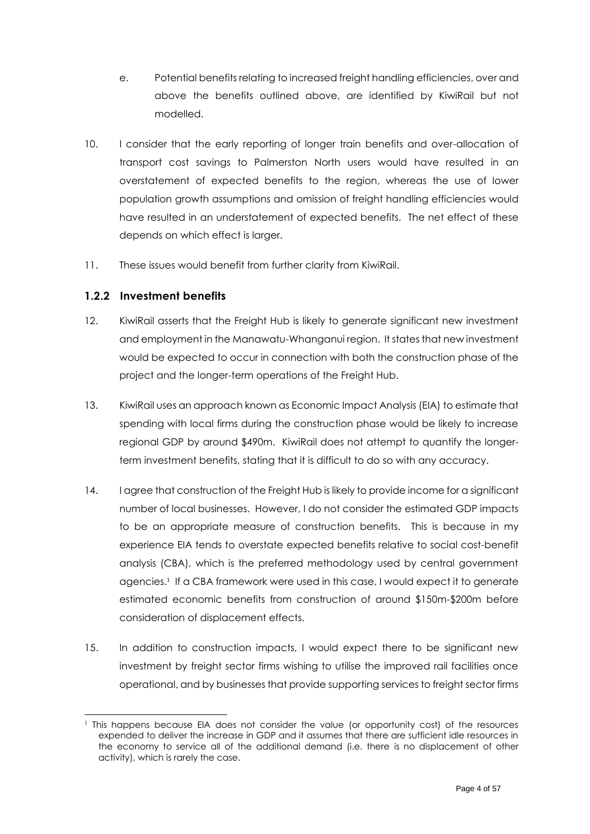- e. Potential benefits relating to increased freight handling efficiencies, over and above the benefits outlined above, are identified by KiwiRail but not modelled.
- 10. I consider that the early reporting of longer train benefits and over-allocation of transport cost savings to Palmerston North users would have resulted in an overstatement of expected benefits to the region, whereas the use of lower population growth assumptions and omission of freight handling efficiencies would have resulted in an understatement of expected benefits. The net effect of these depends on which effect is larger.
- 11. These issues would benefit from further clarity from KiwiRail.

#### <span id="page-3-0"></span>**1.2.2 Investment benefits**

- 12. KiwiRail asserts that the Freight Hub is likely to generate significant new investment and employment in the Manawatu-Whanganui region. It states that new investment would be expected to occur in connection with both the construction phase of the project and the longer-term operations of the Freight Hub.
- 13. KiwiRail uses an approach known as Economic Impact Analysis (EIA) to estimate that spending with local firms during the construction phase would be likely to increase regional GDP by around \$490m. KiwiRail does not attempt to quantify the longerterm investment benefits, stating that it is difficult to do so with any accuracy.
- 14. I agree that construction of the Freight Hub is likely to provide income for a significant number of local businesses. However, I do not consider the estimated GDP impacts to be an appropriate measure of construction benefits. This is because in my experience EIA tends to overstate expected benefits relative to social cost-benefit analysis (CBA), which is the preferred methodology used by central government agencies.<sup>1</sup> If a CBA framework were used in this case, I would expect it to generate estimated economic benefits from construction of around \$150m-\$200m before consideration of displacement effects.
- 15. In addition to construction impacts, I would expect there to be significant new investment by freight sector firms wishing to utilise the improved rail facilities once operational, and by businesses that provide supporting services to freight sector firms

<sup>1</sup> This happens because EIA does not consider the value (or opportunity cost) of the resources expended to deliver the increase in GDP and it assumes that there are sufficient idle resources in the economy to service all of the additional demand (i.e. there is no displacement of other activity), which is rarely the case.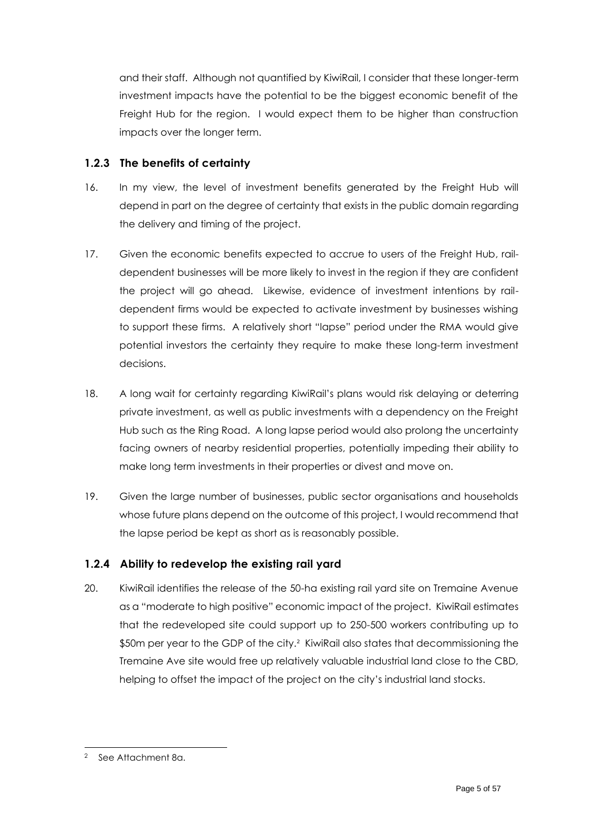and their staff. Although not quantified by KiwiRail, I consider that these longer-term investment impacts have the potential to be the biggest economic benefit of the Freight Hub for the region. I would expect them to be higher than construction impacts over the longer term.

### <span id="page-4-0"></span>**1.2.3 The benefits of certainty**

- 16. In my view, the level of investment benefits generated by the Freight Hub will depend in part on the degree of certainty that exists in the public domain regarding the delivery and timing of the project.
- 17. Given the economic benefits expected to accrue to users of the Freight Hub, raildependent businesses will be more likely to invest in the region if they are confident the project will go ahead. Likewise, evidence of investment intentions by raildependent firms would be expected to activate investment by businesses wishing to support these firms. A relatively short "lapse" period under the RMA would give potential investors the certainty they require to make these long-term investment decisions.
- 18. A long wait for certainty regarding KiwiRail's plans would risk delaying or deterring private investment, as well as public investments with a dependency on the Freight Hub such as the Ring Road. A long lapse period would also prolong the uncertainty facing owners of nearby residential properties, potentially impeding their ability to make long term investments in their properties or divest and move on.
- 19. Given the large number of businesses, public sector organisations and households whose future plans depend on the outcome of this project, I would recommend that the lapse period be kept as short as is reasonably possible.

## <span id="page-4-1"></span>**1.2.4 Ability to redevelop the existing rail yard**

20. KiwiRail identifies the release of the 50-ha existing rail yard site on Tremaine Avenue as a "moderate to high positive" economic impact of the project. KiwiRail estimates that the redeveloped site could support up to 250-500 workers contributing up to \$50m per year to the GDP of the city.<sup>2</sup> KiwiRail also states that decommissioning the Tremaine Ave site would free up relatively valuable industrial land close to the CBD, helping to offset the impact of the project on the city's industrial land stocks.

<sup>2</sup> See Attachment 8a.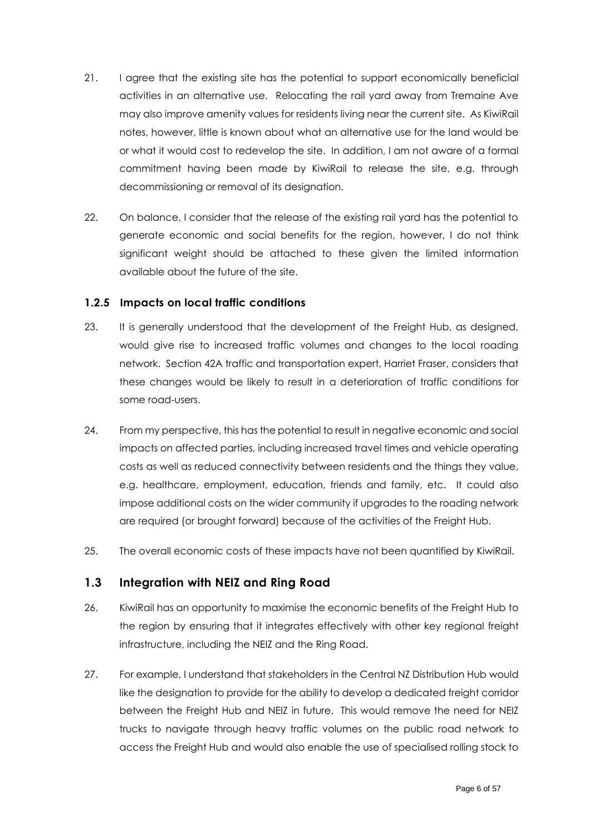- 21. I agree that the existing site has the potential to support economically beneficial activities in an alternative use. Relocating the rail yard away from Tremaine Ave may also improve amenity values for residents living near the current site. As KiwiRail notes, however, little is known about what an alternative use for the land would be or what it would cost to redevelop the site. In addition, I am not aware of a formal commitment having been made by KiwiRail to release the site, e.g. through decommissioning or removal of its designation.
- 22. On balance, I consider that the release of the existing rail yard has the potential to generate economic and social benefits for the region, however, I do not think significant weight should be attached to these given the limited information available about the future of the site.

#### <span id="page-5-0"></span>**1.2.5 Impacts on local traffic conditions**

- 23. It is generally understood that the development of the Freight Hub, as designed, would give rise to increased traffic volumes and changes to the local roading network. Section 42A traffic and transportation expert, Harriet Fraser, considers that these changes would be likely to result in a deterioration of traffic conditions for some road-users.
- 24. From my perspective, this has the potential to result in negative economic and social impacts on affected parties, including increased travel times and vehicle operating costs as well as reduced connectivity between residents and the things they value, e.g. healthcare, employment, education, friends and family, etc. It could also impose additional costs on the wider community if upgrades to the roading network are required (or brought forward) because of the activities of the Freight Hub.
- 25. The overall economic costs of these impacts have not been quantified by KiwiRail.

#### <span id="page-5-1"></span>**1.3 Integration with NEIZ and Ring Road**

- 26. KiwiRail has an opportunity to maximise the economic benefits of the Freight Hub to the region by ensuring that it integrates effectively with other key regional freight infrastructure, including the NEIZ and the Ring Road.
- 27. For example, I understand that stakeholders in the Central NZ Distribution Hub would like the designation to provide for the ability to develop a dedicated freight corridor between the Freight Hub and NEIZ in future. This would remove the need for NEIZ trucks to navigate through heavy traffic volumes on the public road network to access the Freight Hub and would also enable the use of specialised rolling stock to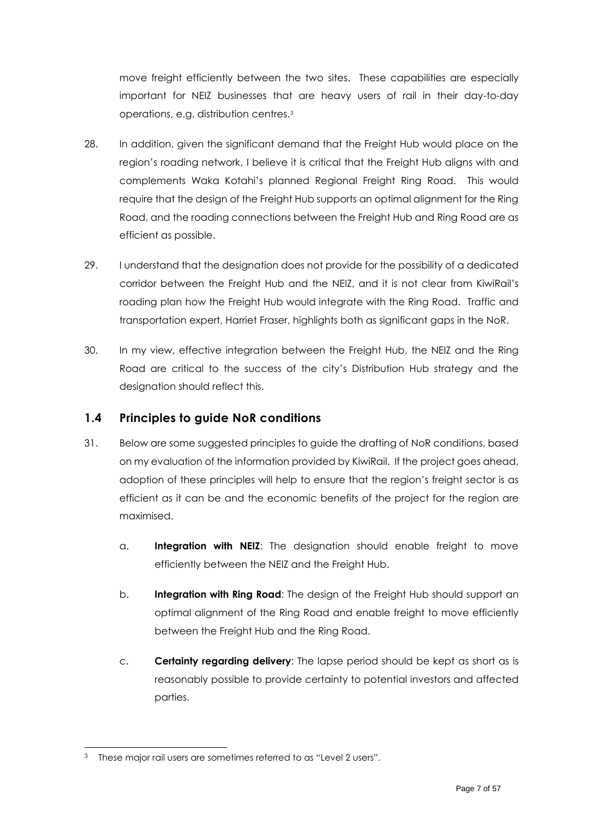move freight efficiently between the two sites. These capabilities are especially important for NEIZ businesses that are heavy users of rail in their day-to-day operations, e.g. distribution centres. 3

- 28. In addition, given the significant demand that the Freight Hub would place on the region's roading network, I believe it is critical that the Freight Hub aligns with and complements Waka Kotahi's planned Regional Freight Ring Road. This would require that the design of the Freight Hub supports an optimal alignment for the Ring Road, and the roading connections between the Freight Hub and Ring Road are as efficient as possible.
- 29. I understand that the designation does not provide for the possibility of a dedicated corridor between the Freight Hub and the NEIZ, and it is not clear from KiwiRail's roading plan how the Freight Hub would integrate with the Ring Road. Traffic and transportation expert, Harriet Fraser, highlights both as significant gaps in the NoR.
- 30. In my view, effective integration between the Freight Hub, the NEIZ and the Ring Road are critical to the success of the city's Distribution Hub strategy and the designation should reflect this.

## <span id="page-6-0"></span>**1.4 Principles to guide NoR conditions**

- 31. Below are some suggested principles to guide the drafting of NoR conditions, based on my evaluation of the information provided by KiwiRail. If the project goes ahead, adoption of these principles will help to ensure that the region's freight sector is as efficient as it can be and the economic benefits of the project for the region are maximised.
	- a. **Integration with NEIZ**: The designation should enable freight to move efficiently between the NEIZ and the Freight Hub.
	- b. **Integration with Ring Road**: The design of the Freight Hub should support an optimal alignment of the Ring Road and enable freight to move efficiently between the Freight Hub and the Ring Road.
	- c. **Certainty regarding delivery**: The lapse period should be kept as short as is reasonably possible to provide certainty to potential investors and affected parties.

These major rail users are sometimes referred to as "Level 2 users".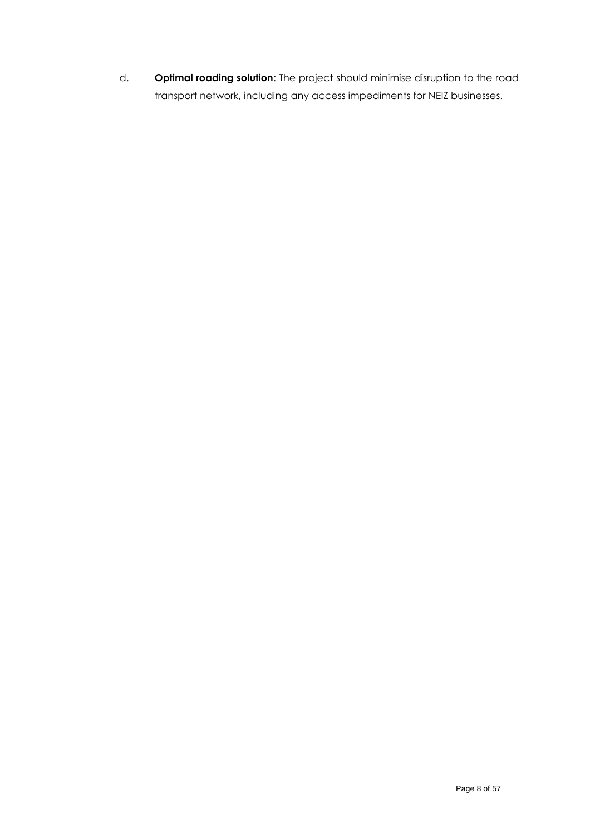d. **Optimal roading solution**: The project should minimise disruption to the road transport network, including any access impediments for NEIZ businesses.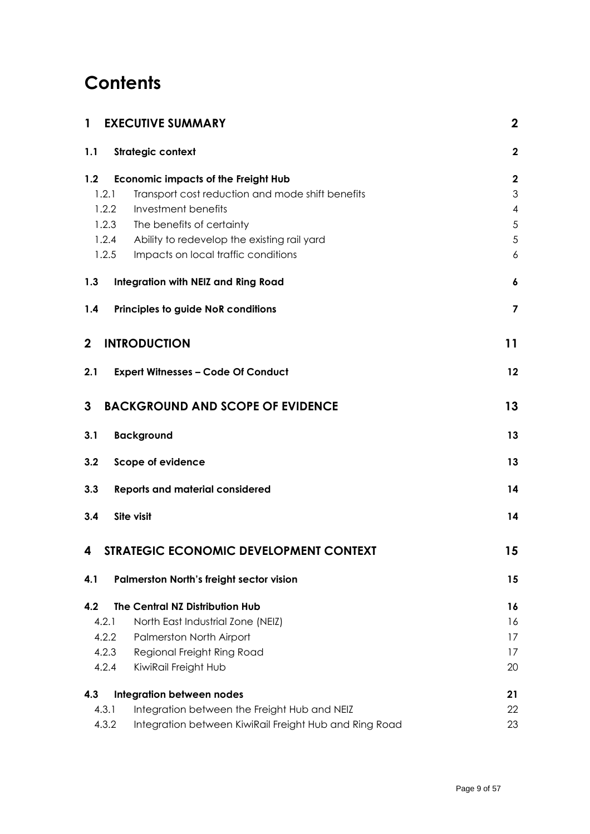# **Contents**

| <b>EXECUTIVE SUMMARY</b><br>1                                      | $\boldsymbol{2}$              |
|--------------------------------------------------------------------|-------------------------------|
| Strategic context<br>1.1                                           | $\overline{\mathbf{2}}$       |
| 1.2<br><b>Economic impacts of the Freight Hub</b>                  | $\mathbf 2$                   |
| 1.2.1<br>Transport cost reduction and mode shift benefits          | 3                             |
| 1.2.2<br>Investment benefits<br>The benefits of certainty<br>1.2.3 | $\overline{\mathcal{A}}$<br>5 |
| 1.2.4<br>Ability to redevelop the existing rail yard               | 5                             |
| 1.2.5<br>Impacts on local traffic conditions                       | 6                             |
| 1.3<br>Integration with NEIZ and Ring Road                         | 6                             |
| 1.4<br><b>Principles to guide NoR conditions</b>                   | $\overline{\mathbf{z}}$       |
| <b>INTRODUCTION</b><br>$\mathbf{2}$                                | 11                            |
| 2.1<br><b>Expert Witnesses - Code Of Conduct</b>                   | 12                            |
| 3<br><b>BACKGROUND AND SCOPE OF EVIDENCE</b>                       | 13                            |
| <b>Background</b><br>3.1                                           | 13                            |
| 3.2<br>Scope of evidence                                           | 13                            |
| 3.3<br><b>Reports and material considered</b>                      | 14                            |
| <b>Site visit</b><br>3.4                                           | 14                            |
| STRATEGIC ECONOMIC DEVELOPMENT CONTEXT<br>4                        | 15                            |
| <b>Palmerston North's freight sector vision</b><br>4.1             | 15                            |
| 4.2<br>The Central NZ Distribution Hub                             | 16                            |
| 4.2.1<br>North East Industrial Zone (NEIZ)                         | 16                            |
| 4.2.2<br>Palmerston North Airport                                  | 17                            |
| 4.2.3<br>Regional Freight Ring Road                                | 17                            |
| 4.2.4<br>KiwiRail Freight Hub                                      | 20                            |
| Integration between nodes<br>4.3                                   | 21                            |
| 4.3.1<br>Integration between the Freight Hub and NEIZ              | 22                            |
| 4.3.2<br>Integration between KiwiRail Freight Hub and Ring Road    | 23                            |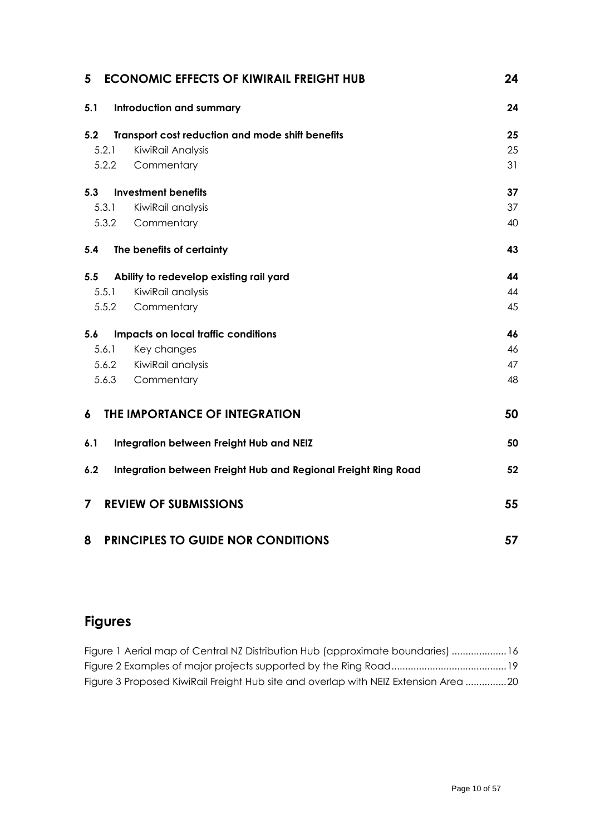| 5     | <b>ECONOMIC EFFECTS OF KIWIRAIL FREIGHT HUB</b>                | 24 |
|-------|----------------------------------------------------------------|----|
| 5.1   | <b>Introduction and summary</b>                                | 24 |
| 5.2   | Transport cost reduction and mode shift benefits               | 25 |
| 5.2.1 | KiwiRail Analysis                                              | 25 |
| 5.2.2 | Commentary                                                     | 31 |
| 5.3   | <b>Investment benefits</b>                                     | 37 |
| 5.3.1 | KiwiRail analysis                                              | 37 |
| 5.3.2 | Commentary                                                     | 40 |
| 5.4   | The benefits of certainty                                      | 43 |
| 5.5   | Ability to redevelop existing rail yard                        | 44 |
| 5.5.1 | KiwiRail analysis                                              | 44 |
| 5.5.2 | Commentary                                                     | 45 |
| 5.6   | Impacts on local traffic conditions                            | 46 |
| 5.6.1 | Key changes                                                    | 46 |
|       | 5.6.2 KiwiRail analysis                                        | 47 |
| 5.6.3 | Commentary                                                     | 48 |
| 6     | THE IMPORTANCE OF INTEGRATION                                  | 50 |
| 6.1   | Integration between Freight Hub and NEIZ                       | 50 |
| 6.2   | Integration between Freight Hub and Regional Freight Ring Road | 52 |
| 7     | <b>REVIEW OF SUBMISSIONS</b>                                   | 55 |
| 8     | <b>PRINCIPLES TO GUIDE NOR CONDITIONS</b>                      | 57 |

# **Figures**

| Figure 1 Aerial map of Central NZ Distribution Hub (approximate boundaries) 16      |  |
|-------------------------------------------------------------------------------------|--|
|                                                                                     |  |
| Figure 3 Proposed KiwiRail Freight Hub site and overlap with NEIZ Extension Area 20 |  |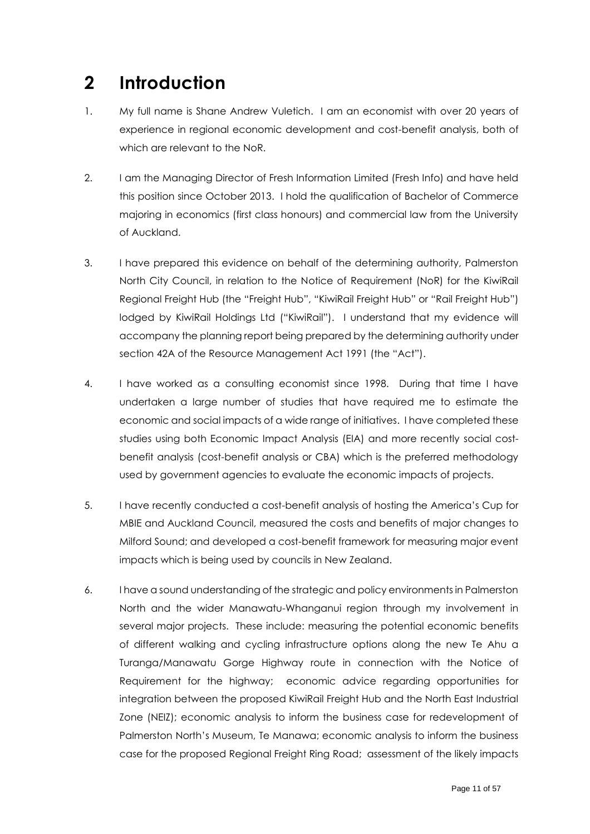# <span id="page-10-0"></span>**2 Introduction**

- 1. My full name is Shane Andrew Vuletich. I am an economist with over 20 years of experience in regional economic development and cost-benefit analysis, both of which are relevant to the NoR.
- 2. I am the Managing Director of Fresh Information Limited (Fresh Info) and have held this position since October 2013. I hold the qualification of Bachelor of Commerce majoring in economics (first class honours) and commercial law from the University of Auckland.
- 3. I have prepared this evidence on behalf of the determining authority, Palmerston North City Council, in relation to the Notice of Requirement (NoR) for the KiwiRail Regional Freight Hub (the "Freight Hub", "KiwiRail Freight Hub" or "Rail Freight Hub") lodged by KiwiRail Holdings Ltd ("KiwiRail"). I understand that my evidence will accompany the planning report being prepared by the determining authority under section 42A of the Resource Management Act 1991 (the "Act").
- 4. I have worked as a consulting economist since 1998. During that time I have undertaken a large number of studies that have required me to estimate the economic and social impacts of a wide range of initiatives. I have completed these studies using both Economic Impact Analysis (EIA) and more recently social costbenefit analysis (cost-benefit analysis or CBA) which is the preferred methodology used by government agencies to evaluate the economic impacts of projects.
- 5. I have recently conducted a cost-benefit analysis of hosting the America's Cup for MBIE and Auckland Council, measured the costs and benefits of major changes to Milford Sound; and developed a cost-benefit framework for measuring major event impacts which is being used by councils in New Zealand.
- 6. I have a sound understanding of the strategic and policy environments in Palmerston North and the wider Manawatu-Whanganui region through my involvement in several major projects. These include: measuring the potential economic benefits of different walking and cycling infrastructure options along the new Te Ahu a Turanga/Manawatu Gorge Highway route in connection with the Notice of Requirement for the highway; economic advice regarding opportunities for integration between the proposed KiwiRail Freight Hub and the North East Industrial Zone (NEIZ); economic analysis to inform the business case for redevelopment of Palmerston North's Museum, Te Manawa; economic analysis to inform the business case for the proposed Regional Freight Ring Road; assessment of the likely impacts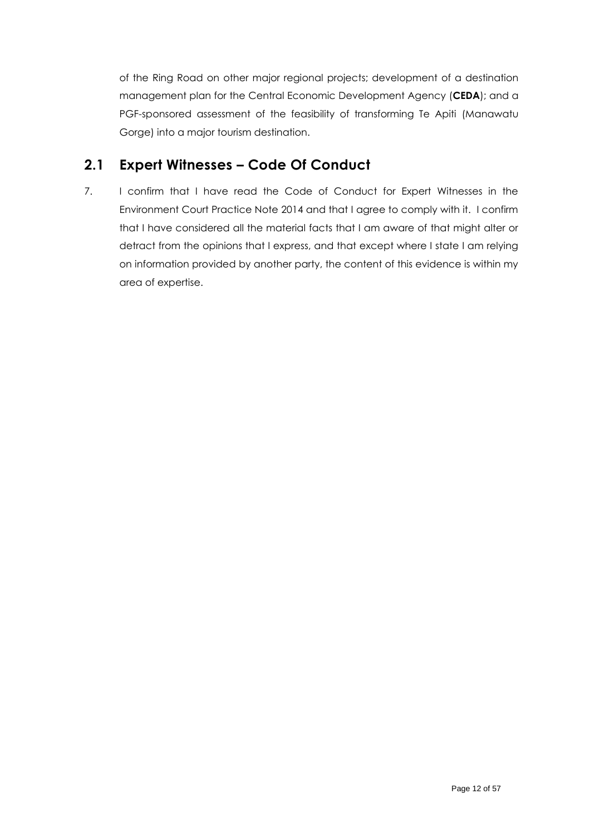of the Ring Road on other major regional projects; development of a destination management plan for the Central Economic Development Agency (**CEDA**); and a PGF-sponsored assessment of the feasibility of transforming Te Apiti (Manawatu Gorge) into a major tourism destination.

# <span id="page-11-0"></span>**2.1 Expert Witnesses – Code Of Conduct**

7. I confirm that I have read the Code of Conduct for Expert Witnesses in the Environment Court Practice Note 2014 and that I agree to comply with it. I confirm that I have considered all the material facts that I am aware of that might alter or detract from the opinions that I express, and that except where I state I am relying on information provided by another party, the content of this evidence is within my area of expertise.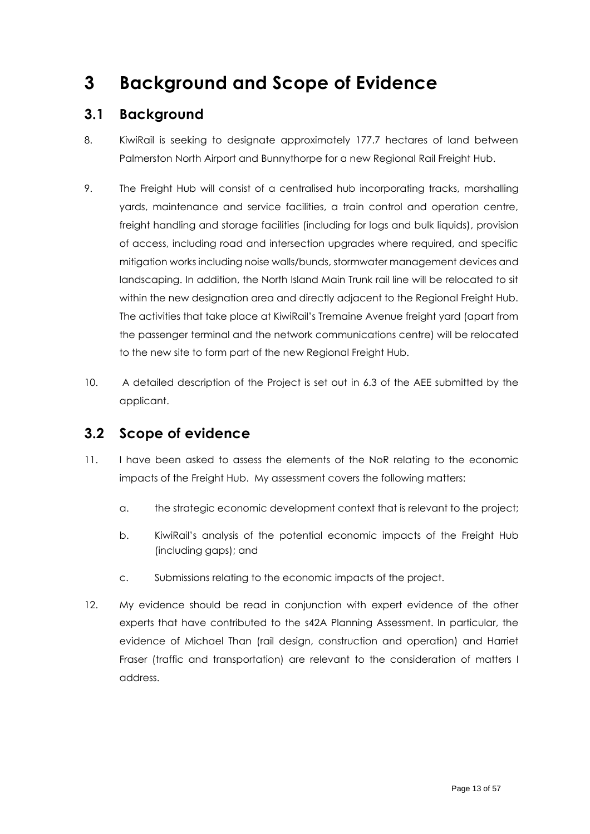# <span id="page-12-0"></span>**3 Background and Scope of Evidence**

# <span id="page-12-1"></span>**3.1 Background**

- 8. KiwiRail is seeking to designate approximately 177.7 hectares of land between Palmerston North Airport and Bunnythorpe for a new Regional Rail Freight Hub.
- 9. The Freight Hub will consist of a centralised hub incorporating tracks, marshalling yards, maintenance and service facilities, a train control and operation centre, freight handling and storage facilities (including for logs and bulk liquids), provision of access, including road and intersection upgrades where required, and specific mitigation works including noise walls/bunds, stormwater management devices and landscaping. In addition, the North Island Main Trunk rail line will be relocated to sit within the new designation area and directly adjacent to the Regional Freight Hub. The activities that take place at KiwiRail's Tremaine Avenue freight yard (apart from the passenger terminal and the network communications centre) will be relocated to the new site to form part of the new Regional Freight Hub.
- 10. A detailed description of the Project is set out in 6.3 of the AEE submitted by the applicant.

# <span id="page-12-2"></span>**3.2 Scope of evidence**

- 11. I have been asked to assess the elements of the NoR relating to the economic impacts of the Freight Hub. My assessment covers the following matters:
	- a. the strategic economic development context that is relevant to the project;
	- b. KiwiRail's analysis of the potential economic impacts of the Freight Hub (including gaps); and
	- c. Submissions relating to the economic impacts of the project.
- 12. My evidence should be read in conjunction with expert evidence of the other experts that have contributed to the s42A Planning Assessment. In particular, the evidence of Michael Than (rail design, construction and operation) and Harriet Fraser (traffic and transportation) are relevant to the consideration of matters I address.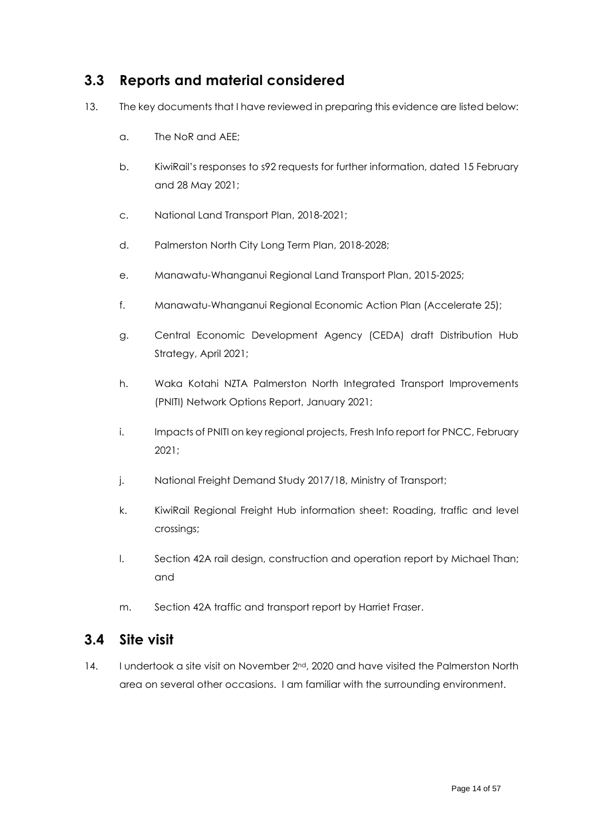# <span id="page-13-0"></span>**3.3 Reports and material considered**

- 13. The key documents that I have reviewed in preparing this evidence are listed below:
	- a. The NoR and AEE;
	- b. KiwiRail's responses to s92 requests for further information, dated 15 February and 28 May 2021;
	- c. National Land Transport Plan, 2018-2021;
	- d. Palmerston North City Long Term Plan, 2018-2028;
	- e. Manawatu-Whanganui Regional Land Transport Plan, 2015-2025;
	- f. Manawatu-Whanganui Regional Economic Action Plan (Accelerate 25);
	- g. Central Economic Development Agency (CEDA) draft Distribution Hub Strategy, April 2021;
	- h. Waka Kotahi NZTA Palmerston North Integrated Transport Improvements (PNITI) Network Options Report, January 2021;
	- i. Impacts of PNITI on key regional projects, Fresh Info report for PNCC, February 2021;
	- j. National Freight Demand Study 2017/18, Ministry of Transport;
	- k. KiwiRail Regional Freight Hub information sheet: Roading, traffic and level crossings;
	- l. Section 42A rail design, construction and operation report by Michael Than; and
	- m. Section 42A traffic and transport report by Harriet Fraser.

# <span id="page-13-1"></span>**3.4 Site visit**

14. I undertook a site visit on November 2<sup>nd</sup>, 2020 and have visited the Palmerston North area on several other occasions. I am familiar with the surrounding environment.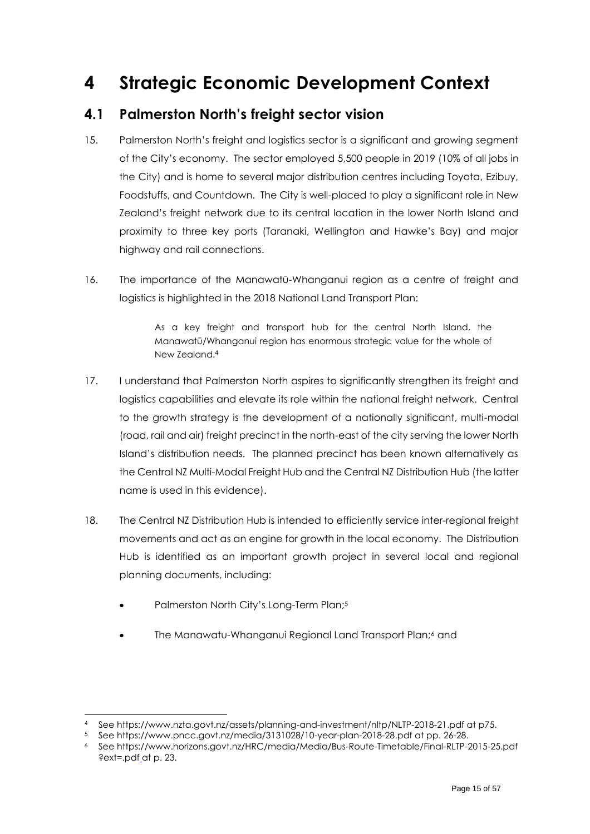# <span id="page-14-0"></span>**4 Strategic Economic Development Context**

# <span id="page-14-1"></span>**4.1 Palmerston North's freight sector vision**

- 15. Palmerston North's freight and logistics sector is a significant and growing segment of the City's economy. The sector employed 5,500 people in 2019 (10% of all jobs in the City) and is home to several major distribution centres including Toyota, Ezibuy, Foodstuffs, and Countdown. The City is well-placed to play a significant role in New Zealand's freight network due to its central location in the lower North Island and proximity to three key ports (Taranaki, Wellington and Hawke's Bay) and major highway and rail connections.
- 16. The importance of the Manawatū-Whanganui region as a centre of freight and logistics is highlighted in the 2018 National Land Transport Plan:

As a key freight and transport hub for the central North Island, the Manawatū/Whanganui region has enormous strategic value for the whole of New Zealand.<sup>4</sup>

- 17. I understand that Palmerston North aspires to significantly strengthen its freight and logistics capabilities and elevate its role within the national freight network. Central to the growth strategy is the development of a nationally significant, multi-modal (road, rail and air) freight precinct in the north-east of the city serving the lower North Island's distribution needs. The planned precinct has been known alternatively as the Central NZ Multi-Modal Freight Hub and the Central NZ Distribution Hub (the latter name is used in this evidence).
- 18. The Central NZ Distribution Hub is intended to efficiently service inter-regional freight movements and act as an engine for growth in the local economy. The Distribution Hub is identified as an important growth project in several local and regional planning documents, including:
	- Palmerston North City's Long-Term Plan;<sup>5</sup>
	- The Manawatu-Whanganui Regional Land Transport Plan;<sup>6</sup> and

<sup>4</sup> See https://www.nzta.govt.nz/assets/planning-and-investment/nltp/NLTP-2018-21.pdf at p75.

<sup>5</sup> See https://www.pncc.govt.nz/media/3131028/10-year-plan-2018-28.pdf at pp. 26-28.

<sup>6</sup> See https://www.horizons.govt.nz/HRC/media/Media/Bus-Route-Timetable/Final-RLTP-2015-25.pdf ?ext=.pdf\_at p. 23.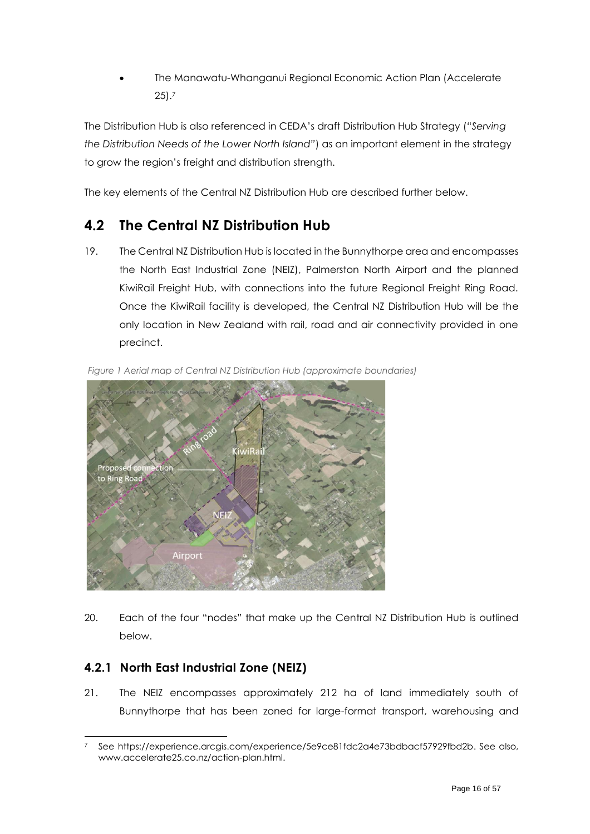• The Manawatu-Whanganui Regional Economic Action Plan (Accelerate 25). 7

The Distribution Hub is also referenced in CEDA's draft Distribution Hub Strategy (*"Serving the Distribution Needs of the Lower North Island"*) as an important element in the strategy to grow the region's freight and distribution strength.

The key elements of the Central NZ Distribution Hub are described further below.

# <span id="page-15-0"></span>**4.2 The Central NZ Distribution Hub**

19. The Central NZ Distribution Hub is located in the Bunnythorpe area and encompasses the North East Industrial Zone (NEIZ), Palmerston North Airport and the planned KiwiRail Freight Hub, with connections into the future Regional Freight Ring Road. Once the KiwiRail facility is developed, the Central NZ Distribution Hub will be the only location in New Zealand with rail, road and air connectivity provided in one precinct.



*Figure 1 Aerial map of Central NZ Distribution Hub (approximate boundaries)*

20. Each of the four "nodes" that make up the Central NZ Distribution Hub is outlined below.

## <span id="page-15-1"></span>**4.2.1 North East Industrial Zone (NEIZ)**

21. The NEIZ encompasses approximately 212 ha of land immediately south of Bunnythorpe that has been zoned for large-format transport, warehousing and

<sup>7</sup> See https://experience.arcgis.com/experience/5e9ce81fdc2a4e73bdbacf57929fbd2b. See also, www.accelerate25.co.nz/action-plan.html.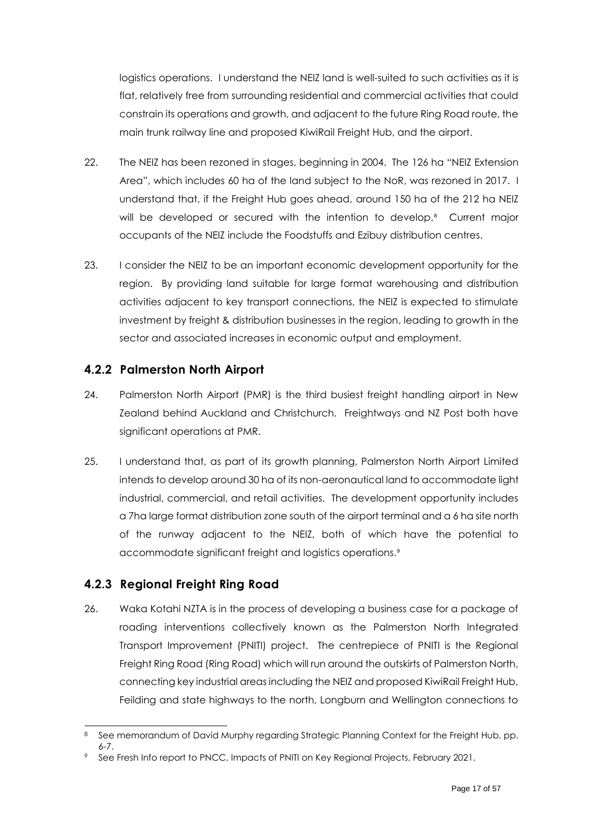logistics operations. I understand the NEIZ land is well-suited to such activities as it is flat, relatively free from surrounding residential and commercial activities that could constrain its operations and growth, and adjacent to the future Ring Road route, the main trunk railway line and proposed KiwiRail Freight Hub, and the airport.

- 22. The NEIZ has been rezoned in stages, beginning in 2004. The 126 ha "NEIZ Extension Area", which includes 60 ha of the land subject to the NoR, was rezoned in 2017. I understand that, if the Freight Hub goes ahead, around 150 ha of the 212 ha NEIZ will be developed or secured with the intention to develop.<sup>8</sup> Current major occupants of the NEIZ include the Foodstuffs and Ezibuy distribution centres.
- 23. I consider the NEIZ to be an important economic development opportunity for the region. By providing land suitable for large format warehousing and distribution activities adjacent to key transport connections, the NEIZ is expected to stimulate investment by freight & distribution businesses in the region, leading to growth in the sector and associated increases in economic output and employment.

### <span id="page-16-0"></span>**4.2.2 Palmerston North Airport**

- 24. Palmerston North Airport (PMR) is the third busiest freight handling airport in New Zealand behind Auckland and Christchurch. Freightways and NZ Post both have significant operations at PMR.
- 25. I understand that, as part of its growth planning, Palmerston North Airport Limited intends to develop around 30 ha of its non-aeronautical land to accommodate light industrial, commercial, and retail activities. The development opportunity includes a 7ha large format distribution zone south of the airport terminal and a 6 ha site north of the runway adjacent to the NEIZ, both of which have the potential to accommodate significant freight and logistics operations.<sup>9</sup>

## <span id="page-16-1"></span>**4.2.3 Regional Freight Ring Road**

26. Waka Kotahi NZTA is in the process of developing a business case for a package of roading interventions collectively known as the Palmerston North Integrated Transport Improvement (PNITI) project. The centrepiece of PNITI is the Regional Freight Ring Road (Ring Road) which will run around the outskirts of Palmerston North, connecting key industrial areas including the NEIZ and proposed KiwiRail Freight Hub, Feilding and state highways to the north, Longburn and Wellington connections to

<sup>8</sup> See memorandum of David Murphy regarding Strategic Planning Context for the Freight Hub, pp. 6-7.

See Fresh Info report to PNCC, Impacts of PNITI on Key Regional Projects, February 2021.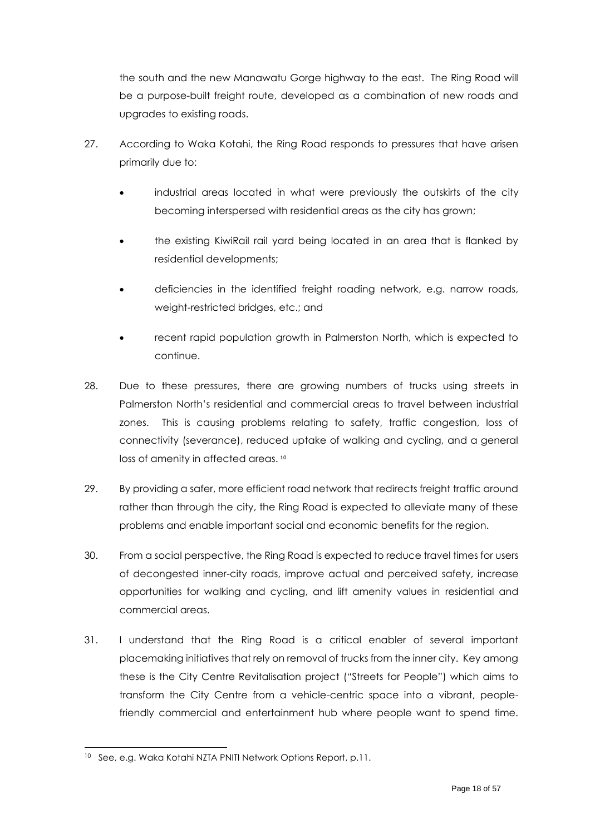the south and the new Manawatu Gorge highway to the east. The Ring Road will be a purpose-built freight route, developed as a combination of new roads and upgrades to existing roads.

- 27. According to Waka Kotahi, the Ring Road responds to pressures that have arisen primarily due to:
	- industrial areas located in what were previously the outskirts of the city becoming interspersed with residential areas as the city has grown;
	- the existing KiwiRail rail yard being located in an area that is flanked by residential developments;
	- deficiencies in the identified freight roading network, e.g. narrow roads, weight-restricted bridges, etc.; and
	- recent rapid population growth in Palmerston North, which is expected to continue.
- 28. Due to these pressures, there are growing numbers of trucks using streets in Palmerston North's residential and commercial areas to travel between industrial zones. This is causing problems relating to safety, traffic congestion, loss of connectivity (severance), reduced uptake of walking and cycling, and a general loss of amenity in affected areas.<sup>10</sup>
- 29. By providing a safer, more efficient road network that redirects freight traffic around rather than through the city, the Ring Road is expected to alleviate many of these problems and enable important social and economic benefits for the region.
- 30. From a social perspective, the Ring Road is expected to reduce travel times for users of decongested inner-city roads, improve actual and perceived safety, increase opportunities for walking and cycling, and lift amenity values in residential and commercial areas.
- 31. I understand that the Ring Road is a critical enabler of several important placemaking initiatives that rely on removal of trucks from the inner city. Key among these is the City Centre Revitalisation project ("Streets for People") which aims to transform the City Centre from a vehicle-centric space into a vibrant, peoplefriendly commercial and entertainment hub where people want to spend time.

<sup>10</sup> See, e.g. Waka Kotahi NZTA PNITI Network Options Report, p.11.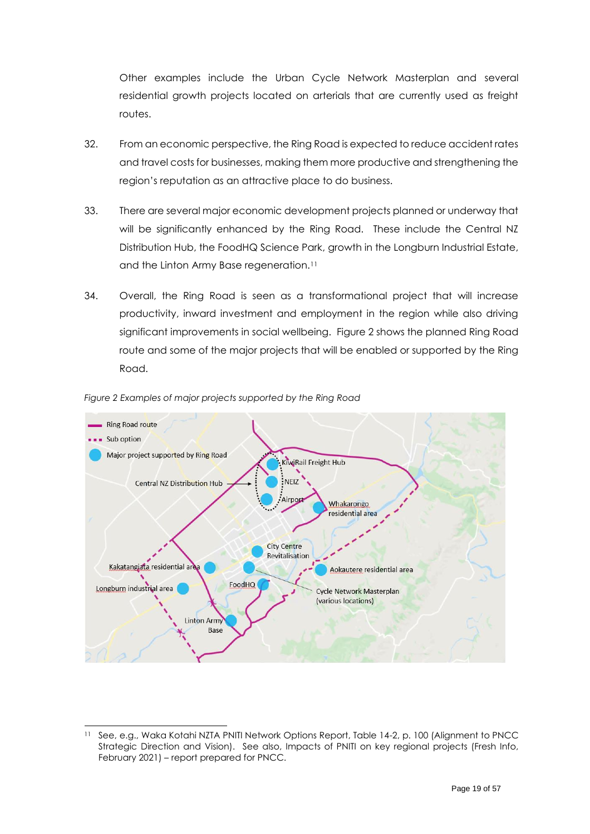Other examples include the Urban Cycle Network Masterplan and several residential growth projects located on arterials that are currently used as freight routes.

- 32. From an economic perspective, the Ring Road is expected to reduce accident rates and travel costs for businesses, making them more productive and strengthening the region's reputation as an attractive place to do business.
- 33. There are several major economic development projects planned or underway that will be significantly enhanced by the Ring Road. These include the Central NZ Distribution Hub, the FoodHQ Science Park, growth in the Longburn Industrial Estate, and the Linton Army Base regeneration.<sup>11</sup>
- 34. Overall, the Ring Road is seen as a transformational project that will increase productivity, inward investment and employment in the region while also driving significant improvements in social wellbeing. [Figure 2](#page-18-0) shows the planned Ring Road route and some of the major projects that will be enabled or supported by the Ring Road.



<span id="page-18-0"></span>*Figure 2 Examples of major projects supported by the Ring Road*

<sup>&</sup>lt;sup>11</sup> See, e.g., Waka Kotahi NZTA PNITI Network Options Report, Table 14-2, p. 100 (Alignment to PNCC Strategic Direction and Vision). See also, Impacts of PNITI on key regional projects (Fresh Info, February 2021) – report prepared for PNCC.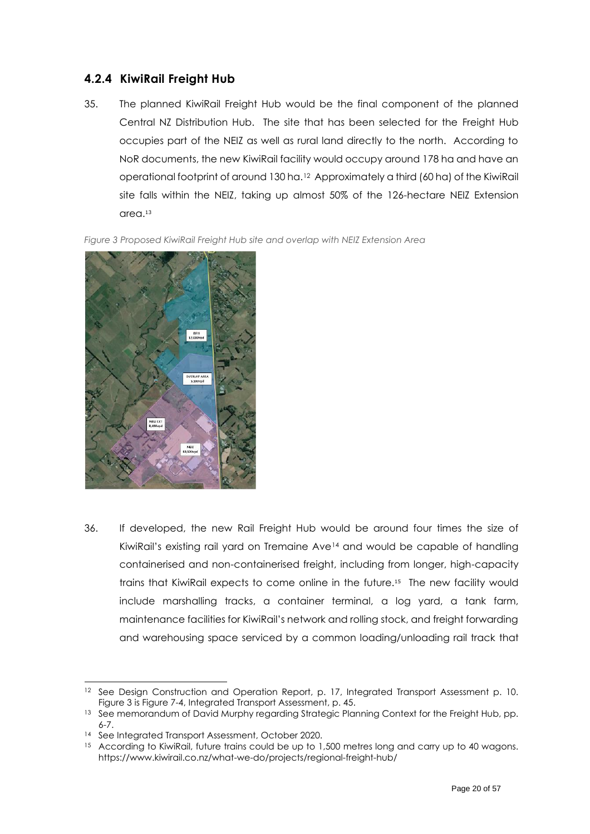### <span id="page-19-0"></span>**4.2.4 KiwiRail Freight Hub**

35. The planned KiwiRail Freight Hub would be the final component of the planned Central NZ Distribution Hub. The site that has been selected for the Freight Hub occupies part of the NEIZ as well as rural land directly to the north. According to NoR documents, the new KiwiRail facility would occupy around 178 ha and have an operational footprint of around 130 ha.12 Approximately a third (60 ha) of the KiwiRail site falls within the NEIZ, taking up almost 50% of the 126-hectare NEIZ Extension area.<sup>13</sup>

<span id="page-19-1"></span>*Figure 3 Proposed KiwiRail Freight Hub site and overlap with NEIZ Extension Area*



36. If developed, the new Rail Freight Hub would be around four times the size of KiwiRail's existing rail yard on Tremaine Ave<sup>14</sup> and would be capable of handling containerised and non-containerised freight, including from longer, high-capacity trains that KiwiRail expects to come online in the future.<sup>15</sup> The new facility would include marshalling tracks, a container terminal, a log yard, a tank farm, maintenance facilities for KiwiRail's network and rolling stock, and freight forwarding and warehousing space serviced by a common loading/unloading rail track that

<sup>&</sup>lt;sup>12</sup> See Design Construction and Operation Report, p. 17, Integrated Transport Assessment p. 10. [Figure 3](#page-19-1) is Figure 7-4, Integrated Transport Assessment, p. 45.

<sup>&</sup>lt;sup>13</sup> See memorandum of David Murphy regarding Strategic Planning Context for the Freight Hub, pp. 6-7.

<sup>14</sup> See Integrated Transport Assessment, October 2020.

<sup>&</sup>lt;sup>15</sup> According to KiwiRail, future trains could be up to 1,500 metres long and carry up to 40 wagons. https://www.kiwirail.co.nz/what-we-do/projects/regional-freight-hub/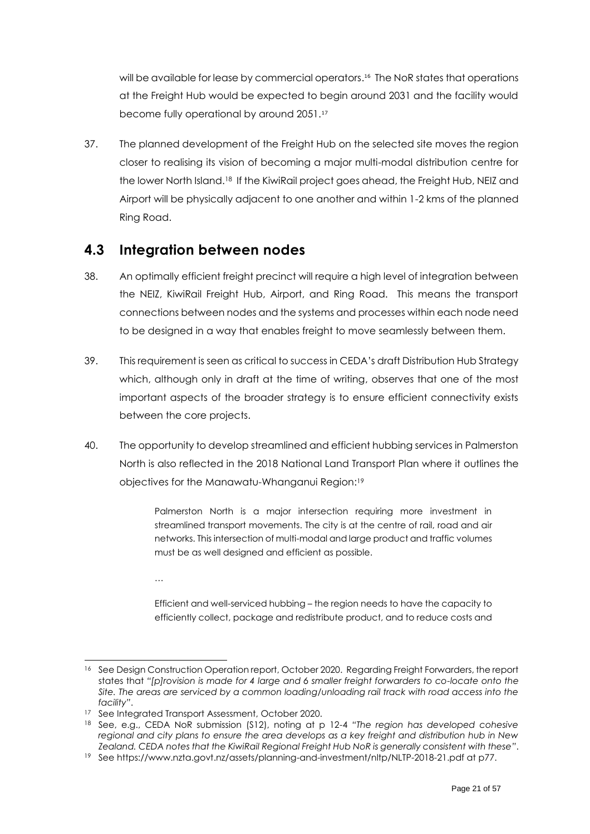will be available for lease by commercial operators. 16 The NoR states that operations at the Freight Hub would be expected to begin around 2031 and the facility would become fully operational by around 2051.<sup>17</sup>

37. The planned development of the Freight Hub on the selected site moves the region closer to realising its vision of becoming a major multi-modal distribution centre for the lower North Island.18 If the KiwiRail project goes ahead, the Freight Hub, NEIZ and Airport will be physically adjacent to one another and within 1-2 kms of the planned Ring Road.

# <span id="page-20-0"></span>**4.3 Integration between nodes**

- 38. An optimally efficient freight precinct will require a high level of integration between the NEIZ, KiwiRail Freight Hub, Airport, and Ring Road. This means the transport connections between nodes and the systems and processes within each node need to be designed in a way that enables freight to move seamlessly between them.
- 39. This requirement is seen as critical to success in CEDA's draft Distribution Hub Strategy which, although only in draft at the time of writing, observes that one of the most important aspects of the broader strategy is to ensure efficient connectivity exists between the core projects.
- 40. The opportunity to develop streamlined and efficient hubbing services in Palmerston North is also reflected in the 2018 National Land Transport Plan where it outlines the objectives for the Manawatu-Whanganui Region:<sup>19</sup>

Palmerston North is a major intersection requiring more investment in streamlined transport movements. The city is at the centre of rail, road and air networks. This intersection of multi-modal and large product and traffic volumes must be as well designed and efficient as possible.

…

Efficient and well-serviced hubbing – the region needs to have the capacity to efficiently collect, package and redistribute product, and to reduce costs and

<sup>&</sup>lt;sup>16</sup> See Design Construction Operation report, October 2020. Regarding Freight Forwarders, the report states that *"[p]rovision is made for 4 large and 6 smaller freight forwarders to co-locate onto the Site. The areas are serviced by a common loading/unloading rail track with road access into the facility"*.

<sup>&</sup>lt;sup>17</sup> See Integrated Transport Assessment, October 2020.

<sup>18</sup> See, e.g., CEDA NoR submission (S12), noting at p 12-4 *"The region has developed cohesive regional and city plans to ensure the area develops as a key freight and distribution hub in New Zealand. CEDA notes that the KiwiRail Regional Freight Hub NoR is generally consistent with these"*.

<sup>19</sup> See https://www.nzta.govt.nz/assets/planning-and-investment/nltp/NLTP-2018-21.pdf at p77.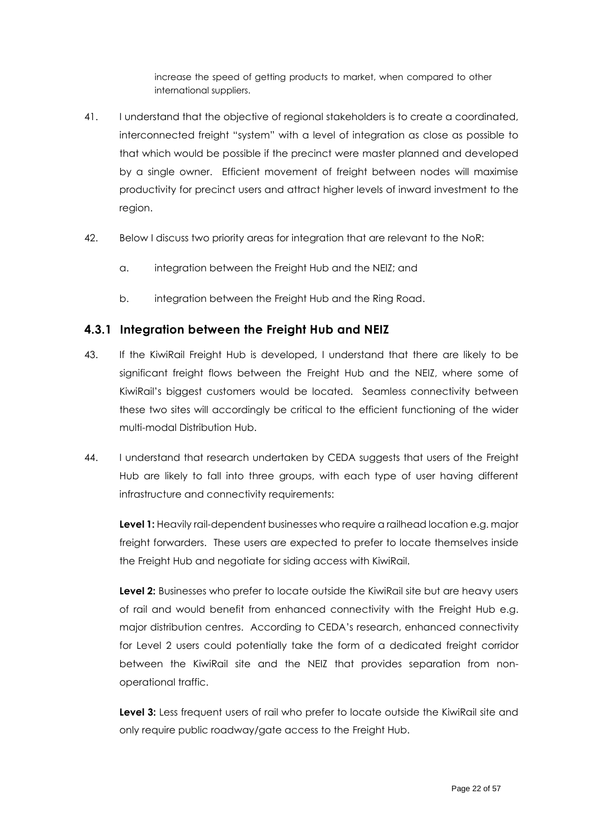increase the speed of getting products to market, when compared to other international suppliers.

- 41. I understand that the objective of regional stakeholders is to create a coordinated, interconnected freight "system" with a level of integration as close as possible to that which would be possible if the precinct were master planned and developed by a single owner. Efficient movement of freight between nodes will maximise productivity for precinct users and attract higher levels of inward investment to the region.
- 42. Below I discuss two priority areas for integration that are relevant to the NoR:
	- a. integration between the Freight Hub and the NEIZ; and
	- b. integration between the Freight Hub and the Ring Road.

#### <span id="page-21-0"></span>**4.3.1 Integration between the Freight Hub and NEIZ**

- 43. If the KiwiRail Freight Hub is developed, I understand that there are likely to be significant freight flows between the Freight Hub and the NEIZ, where some of KiwiRail's biggest customers would be located. Seamless connectivity between these two sites will accordingly be critical to the efficient functioning of the wider multi-modal Distribution Hub.
- 44. I understand that research undertaken by CEDA suggests that users of the Freight Hub are likely to fall into three groups, with each type of user having different infrastructure and connectivity requirements:

**Level 1:** Heavily rail-dependent businesses who require a railhead location e.g. major freight forwarders. These users are expected to prefer to locate themselves inside the Freight Hub and negotiate for siding access with KiwiRail.

**Level 2:** Businesses who prefer to locate outside the KiwiRail site but are heavy users of rail and would benefit from enhanced connectivity with the Freight Hub e.g. major distribution centres. According to CEDA's research, enhanced connectivity for Level 2 users could potentially take the form of a dedicated freight corridor between the KiwiRail site and the NEIZ that provides separation from nonoperational traffic.

Level 3: Less frequent users of rail who prefer to locate outside the KiwiRail site and only require public roadway/gate access to the Freight Hub.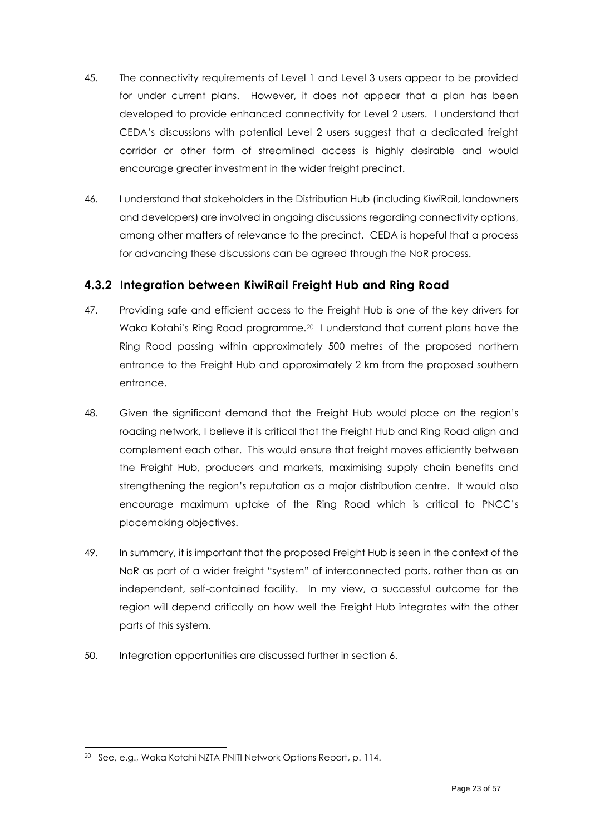- 45. The connectivity requirements of Level 1 and Level 3 users appear to be provided for under current plans. However, it does not appear that a plan has been developed to provide enhanced connectivity for Level 2 users. I understand that CEDA's discussions with potential Level 2 users suggest that a dedicated freight corridor or other form of streamlined access is highly desirable and would encourage greater investment in the wider freight precinct.
- 46. I understand that stakeholders in the Distribution Hub (including KiwiRail, landowners and developers) are involved in ongoing discussions regarding connectivity options, among other matters of relevance to the precinct. CEDA is hopeful that a process for advancing these discussions can be agreed through the NoR process.

## <span id="page-22-0"></span>**4.3.2 Integration between KiwiRail Freight Hub and Ring Road**

- 47. Providing safe and efficient access to the Freight Hub is one of the key drivers for Waka Kotahi's Ring Road programme.<sup>20</sup> I understand that current plans have the Ring Road passing within approximately 500 metres of the proposed northern entrance to the Freight Hub and approximately 2 km from the proposed southern entrance.
- 48. Given the significant demand that the Freight Hub would place on the region's roading network, I believe it is critical that the Freight Hub and Ring Road align and complement each other. This would ensure that freight moves efficiently between the Freight Hub, producers and markets, maximising supply chain benefits and strengthening the region's reputation as a major distribution centre. It would also encourage maximum uptake of the Ring Road which is critical to PNCC's placemaking objectives.
- 49. In summary, it is important that the proposed Freight Hub is seen in the context of the NoR as part of a wider freight "system" of interconnected parts, rather than as an independent, self-contained facility. In my view, a successful outcome for the region will depend critically on how well the Freight Hub integrates with the other parts of this system.
- 50. Integration opportunities are discussed further in section [6.](#page-49-0)

<sup>&</sup>lt;sup>20</sup> See, e.g., Waka Kotahi NZTA PNITI Network Options Report, p. 114.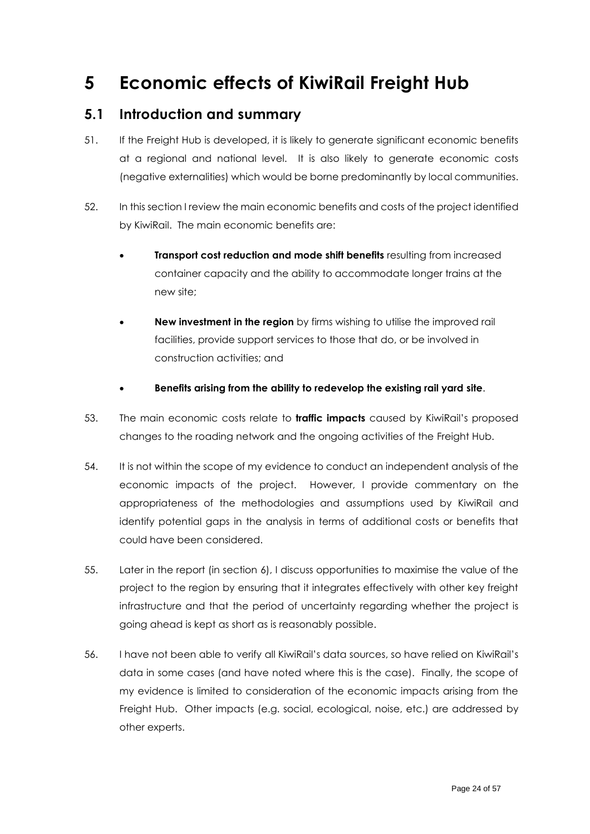# <span id="page-23-0"></span>**5 Economic effects of KiwiRail Freight Hub**

## <span id="page-23-1"></span>**5.1 Introduction and summary**

- 51. If the Freight Hub is developed, it is likely to generate significant economic benefits at a regional and national level. It is also likely to generate economic costs (negative externalities) which would be borne predominantly by local communities.
- 52. In this section I review the main economic benefits and costs of the project identified by KiwiRail. The main economic benefits are:
	- **Transport cost reduction and mode shift benefits** resulting from increased container capacity and the ability to accommodate longer trains at the new site;
	- **New investment in the region** by firms wishing to utilise the improved rail facilities, provide support services to those that do, or be involved in construction activities; and
	- **Benefits arising from the ability to redevelop the existing rail yard site**.
- 53. The main economic costs relate to **traffic impacts** caused by KiwiRail's proposed changes to the roading network and the ongoing activities of the Freight Hub.
- 54. It is not within the scope of my evidence to conduct an independent analysis of the economic impacts of the project. However, I provide commentary on the appropriateness of the methodologies and assumptions used by KiwiRail and identify potential gaps in the analysis in terms of additional costs or benefits that could have been considered.
- 55. Later in the report (in section [6\)](#page-49-0), I discuss opportunities to maximise the value of the project to the region by ensuring that it integrates effectively with other key freight infrastructure and that the period of uncertainty regarding whether the project is going ahead is kept as short as is reasonably possible.
- 56. I have not been able to verify all KiwiRail's data sources, so have relied on KiwiRail's data in some cases (and have noted where this is the case). Finally, the scope of my evidence is limited to consideration of the economic impacts arising from the Freight Hub. Other impacts (e.g. social, ecological, noise, etc.) are addressed by other experts.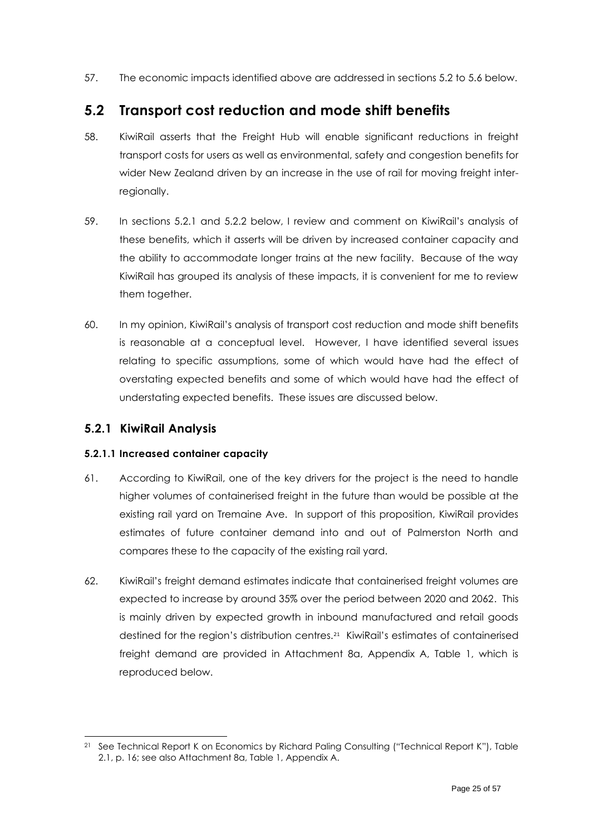57. The economic impacts identified above are addressed in sections [5.2](#page-24-0) to [5.6](#page-45-0) below.

# <span id="page-24-0"></span>**5.2 Transport cost reduction and mode shift benefits**

- 58. KiwiRail asserts that the Freight Hub will enable significant reductions in freight transport costs for users as well as environmental, safety and congestion benefits for wider New Zealand driven by an increase in the use of rail for moving freight interregionally.
- 59. In sections [5.2.1](#page-24-1) and [5.2.2](#page-30-0) below, I review and comment on KiwiRail's analysis of these benefits, which it asserts will be driven by increased container capacity and the ability to accommodate longer trains at the new facility. Because of the way KiwiRail has grouped its analysis of these impacts, it is convenient for me to review them together.
- 60. In my opinion, KiwiRail's analysis of transport cost reduction and mode shift benefits is reasonable at a conceptual level. However, I have identified several issues relating to specific assumptions, some of which would have had the effect of overstating expected benefits and some of which would have had the effect of understating expected benefits. These issues are discussed below.

### <span id="page-24-1"></span>**5.2.1 KiwiRail Analysis**

#### **5.2.1.1 Increased container capacity**

- 61. According to KiwiRail, one of the key drivers for the project is the need to handle higher volumes of containerised freight in the future than would be possible at the existing rail yard on Tremaine Ave. In support of this proposition, KiwiRail provides estimates of future container demand into and out of Palmerston North and compares these to the capacity of the existing rail yard.
- 62. KiwiRail's freight demand estimates indicate that containerised freight volumes are expected to increase by around 35% over the period between 2020 and 2062. This is mainly driven by expected growth in inbound manufactured and retail goods destined for the region's distribution centres.<sup>21</sup> KiwiRail's estimates of containerised freight demand are provided in Attachment 8a, Appendix A, Table 1, which is reproduced below.

See Technical Report K on Economics by Richard Paling Consulting ("Technical Report K"), Table 2.1, p. 16; see also Attachment 8a, Table 1, Appendix A.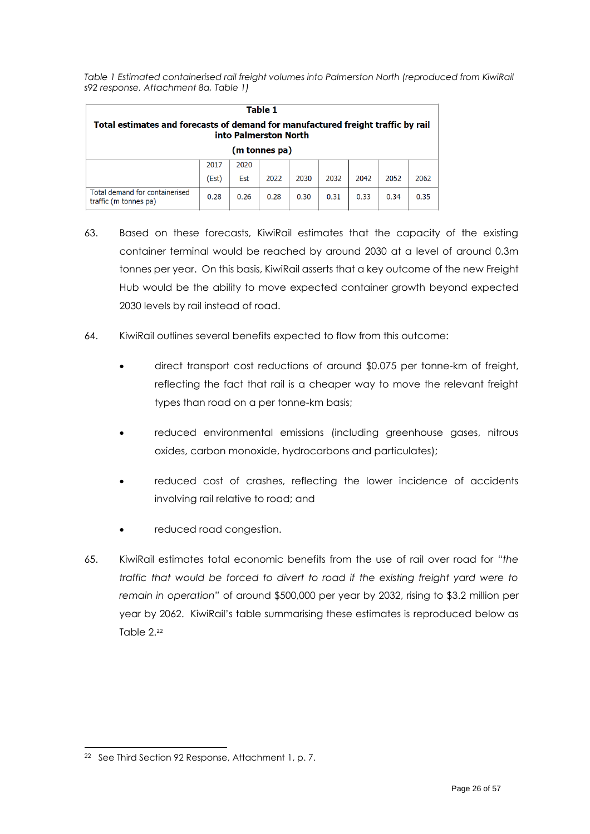*Table 1 Estimated containerised rail freight volumes into Palmerston North (reproduced from KiwiRail s92 response, Attachment 8a, Table 1)*

| Table 1<br>Total estimates and forecasts of demand for manufactured freight traffic by rail<br>into Palmerston North |       |      |               |      |      |      |      |      |
|----------------------------------------------------------------------------------------------------------------------|-------|------|---------------|------|------|------|------|------|
|                                                                                                                      |       |      | (m tonnes pa) |      |      |      |      |      |
|                                                                                                                      | 2017  | 2020 |               |      |      |      |      |      |
|                                                                                                                      | (Est) | Est  | 2022          | 2030 | 2032 | 2042 | 2052 | 2062 |
| Total demand for containerised<br>traffic (m tonnes pa)                                                              | 0.28  | 0.26 | 0.28          | 0.30 | 0.31 | 0.33 | 0.34 | 0.35 |

- 63. Based on these forecasts, KiwiRail estimates that the capacity of the existing container terminal would be reached by around 2030 at a level of around 0.3m tonnes per year. On this basis, KiwiRail asserts that a key outcome of the new Freight Hub would be the ability to move expected container growth beyond expected 2030 levels by rail instead of road.
- 64. KiwiRail outlines several benefits expected to flow from this outcome:
	- direct transport cost reductions of around \$0.075 per tonne-km of freight, reflecting the fact that rail is a cheaper way to move the relevant freight types than road on a per tonne-km basis;
	- reduced environmental emissions (including greenhouse gases, nitrous oxides, carbon monoxide, hydrocarbons and particulates);
	- reduced cost of crashes, reflecting the lower incidence of accidents involving rail relative to road; and
	- reduced road congestion.
- 65. KiwiRail estimates total economic benefits from the use of rail over road for *"the traffic that would be forced to divert to road if the existing freight yard were to remain in operation"* of around \$500,000 per year by 2032, rising to \$3.2 million per year by 2062. KiwiRail's table summarising these estimates is reproduced below as [Table 2.](#page-26-0) 22

<sup>22</sup> See Third Section 92 Response, Attachment 1, p. 7.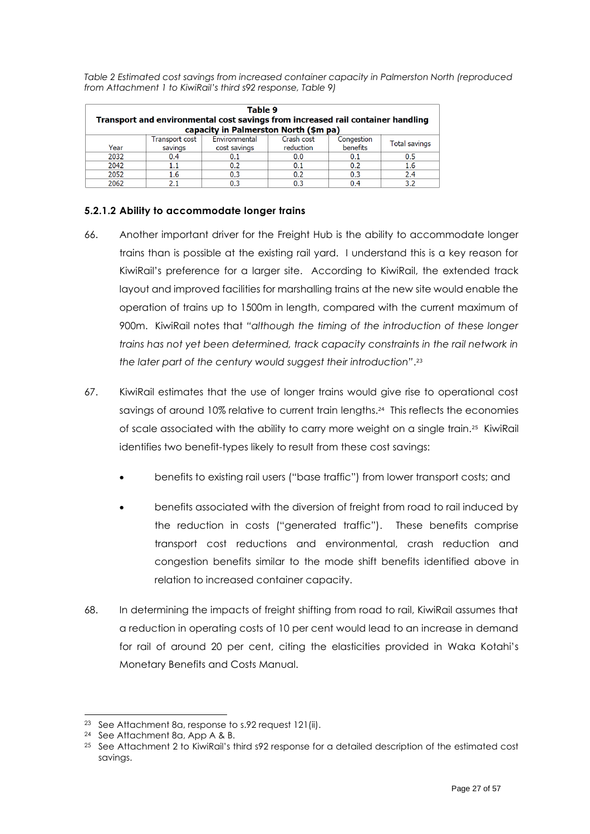<span id="page-26-0"></span>*Table 2 Estimated cost savings from increased container capacity in Palmerston North (reproduced from Attachment 1 to KiwiRail's third s92 response, Table 9)*

|      | Table 9<br>Transport and environmental cost savings from increased rail container handling<br>capacity in Palmerston North (\$m pa) |                               |                         |                        |               |  |  |
|------|-------------------------------------------------------------------------------------------------------------------------------------|-------------------------------|-------------------------|------------------------|---------------|--|--|
| Year | Transport cost<br>savings                                                                                                           | Environmental<br>cost savings | Crash cost<br>reduction | Congestion<br>benefits | Total savings |  |  |
| 2032 | 0.4                                                                                                                                 | 0.1                           | 0.0                     | 0.1                    | 0.5           |  |  |
| 2042 | 1.1                                                                                                                                 | 0.2                           | 0.1                     | 0.2                    | 1.6           |  |  |
| 2052 | 1.6                                                                                                                                 | 0.3                           | 0.2                     | 0.3                    | 2.4           |  |  |
| 2062 |                                                                                                                                     | 0.3                           |                         | በ 4                    | 32            |  |  |

#### **5.2.1.2 Ability to accommodate longer trains**

- 66. Another important driver for the Freight Hub is the ability to accommodate longer trains than is possible at the existing rail yard. I understand this is a key reason for KiwiRail's preference for a larger site. According to KiwiRail, the extended track layout and improved facilities for marshalling trains at the new site would enable the operation of trains up to 1500m in length, compared with the current maximum of 900m. KiwiRail notes that *"although the timing of the introduction of these longer trains has not yet been determined, track capacity constraints in the rail network in the later part of the century would suggest their introduction"*. 23
- 67. KiwiRail estimates that the use of longer trains would give rise to operational cost savings of around 10% relative to current train lengths.<sup>24</sup> This reflects the economies of scale associated with the ability to carry more weight on a single train.<sup>25</sup> KiwiRail identifies two benefit-types likely to result from these cost savings:
	- benefits to existing rail users ("base traffic") from lower transport costs; and
	- benefits associated with the diversion of freight from road to rail induced by the reduction in costs ("generated traffic"). These benefits comprise transport cost reductions and environmental, crash reduction and congestion benefits similar to the mode shift benefits identified above in relation to increased container capacity.
- 68. In determining the impacts of freight shifting from road to rail, KiwiRail assumes that a reduction in operating costs of 10 per cent would lead to an increase in demand for rail of around 20 per cent, citing the elasticities provided in Waka Kotahi's Monetary Benefits and Costs Manual.

<sup>23</sup> See Attachment 8a, response to s.92 request 121(ii).

<sup>24</sup> See Attachment 8a, App A & B.

<sup>25</sup> See Attachment 2 to KiwiRail's third s92 response for a detailed description of the estimated cost savings.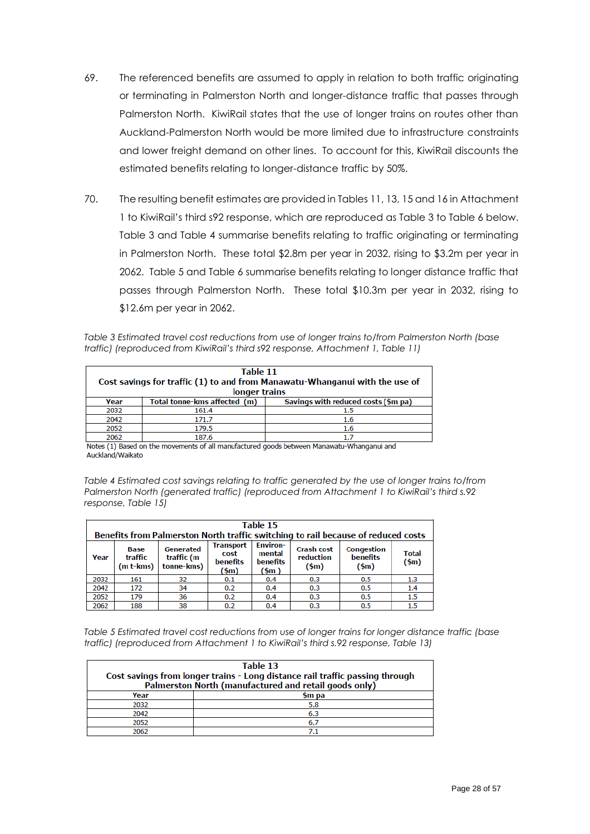- 69. The referenced benefits are assumed to apply in relation to both traffic originating or terminating in Palmerston North and longer-distance traffic that passes through Palmerston North. KiwiRail states that the use of longer trains on routes other than Auckland-Palmerston North would be more limited due to infrastructure constraints and lower freight demand on other lines. To account for this, KiwiRail discounts the estimated benefits relating to longer-distance traffic by 50%.
- 70. The resulting benefit estimates are provided in Tables 11, 13, 15 and 16 in Attachment 1 to KiwiRail's third s92 response, which are reproduced as [Table 3](#page-27-0) t[o Table 6](#page-28-0) below. [Table 3](#page-27-0) and [Table 4](#page-27-1) summarise benefits relating to traffic originating or terminating in Palmerston North. These total \$2.8m per year in 2032, rising to \$3.2m per year in 2062. [Table 5](#page-27-2) and [Table 6](#page-28-0) summarise benefits relating to longer distance traffic that passes through Palmerston North. These total \$10.3m per year in 2032, rising to \$12.6m per year in 2062.

<span id="page-27-0"></span>*Table 3 Estimated travel cost reductions from use of longer trains to/from Palmerston North (base traffic) (reproduced from KiwiRail's third s92 response, Attachment 1, Table 11)*

|      | Table 11<br>Cost savings for traffic (1) to and from Manawatu-Whanganui with the use of<br>longer trains |                                     |  |  |  |
|------|----------------------------------------------------------------------------------------------------------|-------------------------------------|--|--|--|
| Year | Total tonne-kms affected (m)                                                                             | Savings with reduced costs (\$m pa) |  |  |  |
| 2032 | 161.4                                                                                                    | 15                                  |  |  |  |
| 2042 | 171.7                                                                                                    | 1.6                                 |  |  |  |
| 2052 | 179.5                                                                                                    | 1.6                                 |  |  |  |
| 2062 | 187.6                                                                                                    | 17                                  |  |  |  |

Notes (1) Based on the movements of all manufactured goods between Manawatu-Whanganui and Auckland/Waikato

<span id="page-27-1"></span>*Table 4 Estimated cost savings relating to traffic generated by the use of longer trains to/from Palmerston North (generated traffic) (reproduced from Attachment 1 to KiwiRail's third s.92 response, Table 15)*

| Table 15<br>Benefits from Palmerston North traffic switching to rail because of reduced costs                                                                                                                                                                                                                                                |     |    |     |     |     |     |         |  |  |
|----------------------------------------------------------------------------------------------------------------------------------------------------------------------------------------------------------------------------------------------------------------------------------------------------------------------------------------------|-----|----|-----|-----|-----|-----|---------|--|--|
| <b>Environ-</b><br><b>Transport</b><br>Generated<br><b>Crash cost</b><br>Congestion<br>Base<br><b>Total</b><br>mental<br>cost<br><b>benefits</b><br>traffic<br>reduction<br>traffic (m<br>Year<br>$(\text{5m})$<br>benefits<br>benefits<br>tonne-kms)<br>$(m t$ -kms $)$<br>$(\text{5m})$<br>$(\text{5m})$<br>$(\text{5m})$<br>$(\text{5m})$ |     |    |     |     |     |     |         |  |  |
| 2032                                                                                                                                                                                                                                                                                                                                         | 161 | 32 | 0.1 | 0.4 | 0.3 | 0.5 | 1.3     |  |  |
| 2042                                                                                                                                                                                                                                                                                                                                         | 172 | 34 | 0.2 | 0.4 | 0.3 | 0.5 | 1.4     |  |  |
| 2052                                                                                                                                                                                                                                                                                                                                         | 179 | 36 | 0.2 | 0.4 | 0.3 | 0.5 | 1.5     |  |  |
| 2062                                                                                                                                                                                                                                                                                                                                         | 188 | 38 | 0.2 | 0.4 | 0.3 | 0.5 | $1.5\,$ |  |  |

<span id="page-27-2"></span>*Table 5 Estimated travel cost reductions from use of longer trains for longer distance traffic (base traffic) (reproduced from Attachment 1 to KiwiRail's third s.92 response, Table 13)*

| Table 13                                                                                                                              |        |  |  |  |  |
|---------------------------------------------------------------------------------------------------------------------------------------|--------|--|--|--|--|
| Cost savings from longer trains - Long distance rail traffic passing through<br>Palmerston North (manufactured and retail goods only) |        |  |  |  |  |
| Year                                                                                                                                  | \$m pa |  |  |  |  |
| 2032                                                                                                                                  | 5.8    |  |  |  |  |
| 2042                                                                                                                                  | 6.3    |  |  |  |  |
| 2052                                                                                                                                  | 6.7    |  |  |  |  |
| 2062                                                                                                                                  |        |  |  |  |  |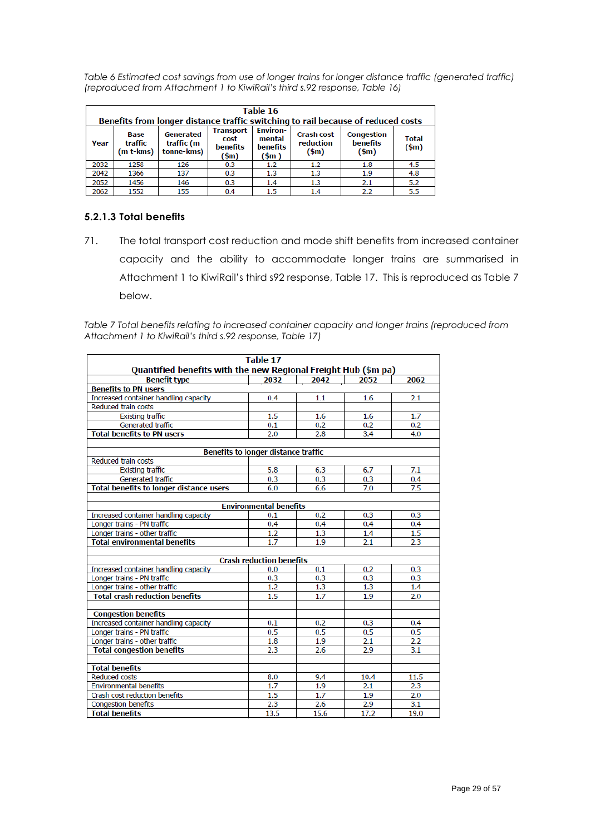<span id="page-28-0"></span>*Table 6 Estimated cost savings from use of longer trains for longer distance traffic (generated traffic) (reproduced from Attachment 1 to KiwiRail's third s.92 response, Table 16)*

|                                                                                                                                                                                                         | Table 16<br>Benefits from longer distance traffic switching to rail because of reduced costs |      |     |     |         |                                                 |                                         |                               |  |  |
|---------------------------------------------------------------------------------------------------------------------------------------------------------------------------------------------------------|----------------------------------------------------------------------------------------------|------|-----|-----|---------|-------------------------------------------------|-----------------------------------------|-------------------------------|--|--|
| <b>Environ-</b><br><b>Transport</b><br>Generated<br><b>Base</b><br>mental<br>cost<br>traffic<br>traffic (m<br>Year<br>benefits<br>benefits<br>tonne-kms)<br>(m t-kms)<br>$(\text{5m})$<br>$(\text{5m})$ |                                                                                              |      |     |     |         | <b>Crash cost</b><br>reduction<br>$(\text{5m})$ | Congestion<br>benefits<br>$(\text{5m})$ | <b>Total</b><br>$(\text{5m})$ |  |  |
|                                                                                                                                                                                                         | 2032                                                                                         | 1258 | 126 | 0.3 | 1.2     | 1.2                                             | 1.8                                     | 4.5                           |  |  |
|                                                                                                                                                                                                         | 2042                                                                                         | 1366 | 137 | 0.3 | $1.3\,$ | 1.3                                             | 1.9                                     | 4.8                           |  |  |
|                                                                                                                                                                                                         | 2052                                                                                         | 1456 | 146 | 0.3 | 1.4     | 1.3                                             | 2.1                                     | 5.2                           |  |  |
|                                                                                                                                                                                                         | 2062                                                                                         | 1552 | 155 | 0.4 | $1.5\,$ | 1.4                                             | 2.2                                     | 5.5                           |  |  |

#### **5.2.1.3 Total benefits**

71. The total transport cost reduction and mode shift benefits from increased container capacity and the ability to accommodate longer trains are summarised in Attachment 1 to KiwiRail's third s92 response, Table 17. This is reproduced as Table 7 below.

<span id="page-28-1"></span>*Table 7 Total benefits relating to increased container capacity and longer trains (reproduced from Attachment 1 to KiwiRail's third s.92 response, Table 17)*

| <b>Table 17</b>                                                |                                     |      |      |      |  |  |  |
|----------------------------------------------------------------|-------------------------------------|------|------|------|--|--|--|
| Quantified benefits with the new Regional Freight Hub (\$m pa) |                                     |      |      |      |  |  |  |
| <b>Benefit type</b>                                            | 2032                                | 2042 | 2052 | 2062 |  |  |  |
| <b>Benefits to PN users</b>                                    |                                     |      |      |      |  |  |  |
| Increased container handling capacity                          | 0.4                                 | 1.1  | 1.6  | 2.1  |  |  |  |
| <b>Reduced train costs</b>                                     |                                     |      |      |      |  |  |  |
| <b>Existing traffic</b>                                        | 1.5                                 | 1.6  | 1.6  | 1.7  |  |  |  |
| Generated traffic                                              | 0.1                                 | 0.2  | 0.2  | 0.2  |  |  |  |
| <b>Total benefits to PN users</b>                              | 2.0                                 | 2.8  | 3.4  | 4.0  |  |  |  |
|                                                                | Benefits to longer distance traffic |      |      |      |  |  |  |
| <b>Reduced train costs</b>                                     |                                     |      |      |      |  |  |  |
| <b>Existing traffic</b>                                        | 5.8                                 | 6.3  | 6.7  | 7.1  |  |  |  |
| Generated traffic                                              | 0.3                                 | 0.3  | 0.3  | 0.4  |  |  |  |
| <b>Total benefits to longer distance users</b>                 | 6.0                                 | 6.6  | 7.0  | 7.5  |  |  |  |
|                                                                |                                     |      |      |      |  |  |  |
|                                                                | <b>Environmental benefits</b>       |      |      |      |  |  |  |
| Increased container handling capacity                          | 0.1                                 | 0.2  | 0.3  | 0.3  |  |  |  |
| Longer trains - PN traffic                                     | 0.4                                 | 0.4  | 0.4  | 0.4  |  |  |  |
| Longer trains - other traffic                                  | 1.2                                 | 1.3  | 1.4  | 1.5  |  |  |  |
| <b>Total environmental benefits</b>                            | 1.7                                 | 1.9  | 2.1  | 2.3  |  |  |  |
|                                                                |                                     |      |      |      |  |  |  |
|                                                                | <b>Crash reduction benefits</b>     |      |      |      |  |  |  |
| Increased container handling capacity                          | 0.0                                 | 0.1  | 0.2  | 0.3  |  |  |  |
| Longer trains - PN traffic                                     | 0.3                                 | 0.3  | 0.3  | 0.3  |  |  |  |
| Longer trains - other traffic                                  | 1.2                                 | 1.3  | 1.3  | 1.4  |  |  |  |
| <b>Total crash reduction benefits</b>                          | 1.5                                 | 1.7  | 1.9  | 2.0  |  |  |  |
|                                                                |                                     |      |      |      |  |  |  |
| <b>Congestion benefits</b>                                     |                                     |      |      |      |  |  |  |
| Increased container handling capacity                          | 0.1                                 | 0.2  | 0.3  | 0.4  |  |  |  |
| Longer trains - PN traffic                                     | 0.5                                 | 0.5  | 0.5  | 0.5  |  |  |  |
| Longer trains - other traffic                                  | 1.8                                 | 1.9  | 2.1  | 2.2  |  |  |  |
| <b>Total congestion benefits</b>                               | 2.3                                 | 2.6  | 2.9  | 3.1  |  |  |  |
| <b>Total benefits</b>                                          |                                     |      |      |      |  |  |  |
| <b>Reduced costs</b>                                           | 8.0                                 | 9.4  | 10.4 | 11.5 |  |  |  |
| <b>Environmental benefits</b>                                  | 1.7                                 | 1.9  | 2.1  | 2.3  |  |  |  |
| Crash cost reduction benefits                                  | 1.5                                 | 1.7  | 1.9  | 2.0  |  |  |  |
| <b>Congestion benefits</b>                                     | 2.3                                 | 2.6  | 2.9  | 3.1  |  |  |  |
| <b>Total benefits</b>                                          | 13.5                                | 15.6 | 17.2 | 19.0 |  |  |  |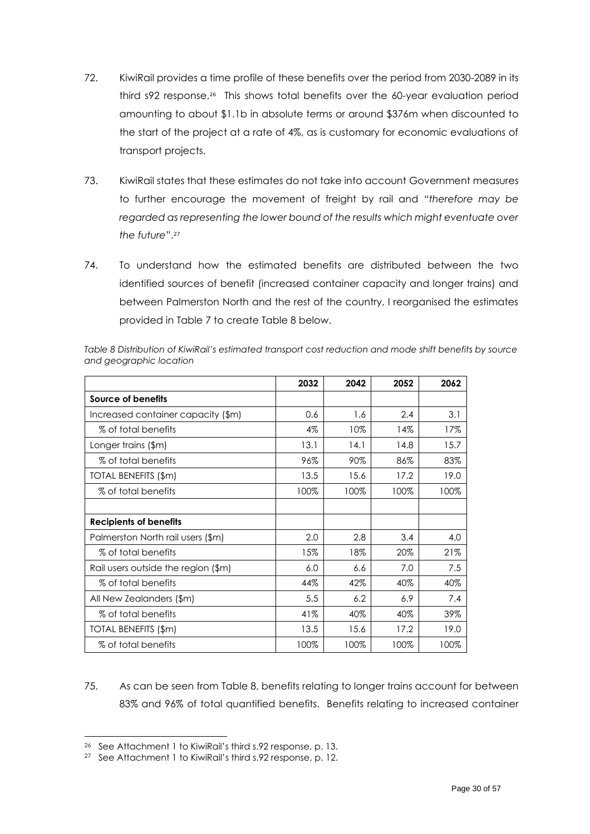- 72. KiwiRail provides a time profile of these benefits over the period from 2030-2089 in its third s92 response. 26 This shows total benefits over the 60-year evaluation period amounting to about \$1.1b in absolute terms or around \$376m when discounted to the start of the project at a rate of 4%, as is customary for economic evaluations of transport projects.
- 73. KiwiRail states that these estimates do not take into account Government measures to further encourage the movement of freight by rail and *"therefore may be regarded as representing the lower bound of the results which might eventuate over the future"*. 27
- 74. To understand how the estimated benefits are distributed between the two identified sources of benefit (increased container capacity and longer trains) and between Palmerston North and the rest of the country, I reorganised the estimates provided in [Table 7](#page-28-1) to create [Table 8](#page-29-0) below.

|                                     | 2032  | 2042 | 2052 | 2062 |
|-------------------------------------|-------|------|------|------|
| Source of benefits                  |       |      |      |      |
| Increased container capacity (\$m)  | 0.6   | 1.6  | 2.4  | 3.1  |
| % of total benefits                 | $4\%$ | 10%  | 14%  | 17%  |
| Longer trains (\$m)                 | 13.1  | 14.1 | 14.8 | 15.7 |
| % of total benefits                 | 96%   | 90%  | 86%  | 83%  |
| TOTAL BENEFITS (\$m)                | 13.5  | 15.6 | 17.2 | 19.0 |
| % of total benefits                 | 100%  | 100% | 100% | 100% |
|                                     |       |      |      |      |
| <b>Recipients of benefits</b>       |       |      |      |      |
| Palmerston North rail users (\$m)   | 2.0   | 2.8  | 3.4  | 4.0  |
| % of total benefits                 | 15%   | 18%  | 20%  | 21%  |
| Rail users outside the region (\$m) | 6.0   | 6.6  | 7.0  | 7.5  |
| % of total benefits                 | 44%   | 42%  | 40%  | 40%  |
| All New Zealanders (\$m)            | 5.5   | 6.2  | 6.9  | 7.4  |
| % of total benefits                 | 41%   | 40%  | 40%  | 39%  |
| TOTAL BENEFITS (\$m)                | 13.5  | 15.6 | 17.2 | 19.0 |
| % of total benefits                 | 100%  | 100% | 100% | 100% |

<span id="page-29-0"></span>*Table 8 Distribution of KiwiRail's estimated transport cost reduction and mode shift benefits by source and geographic location*

75. As can be seen from [Table 8,](#page-29-0) benefits relating to longer trains account for between 83% and 96% of total quantified benefits. Benefits relating to increased container

<sup>26</sup> See Attachment 1 to KiwiRail's third s.92 response, p. 13.

<sup>&</sup>lt;sup>27</sup> See Attachment 1 to KiwiRail's third s.92 response, p. 12.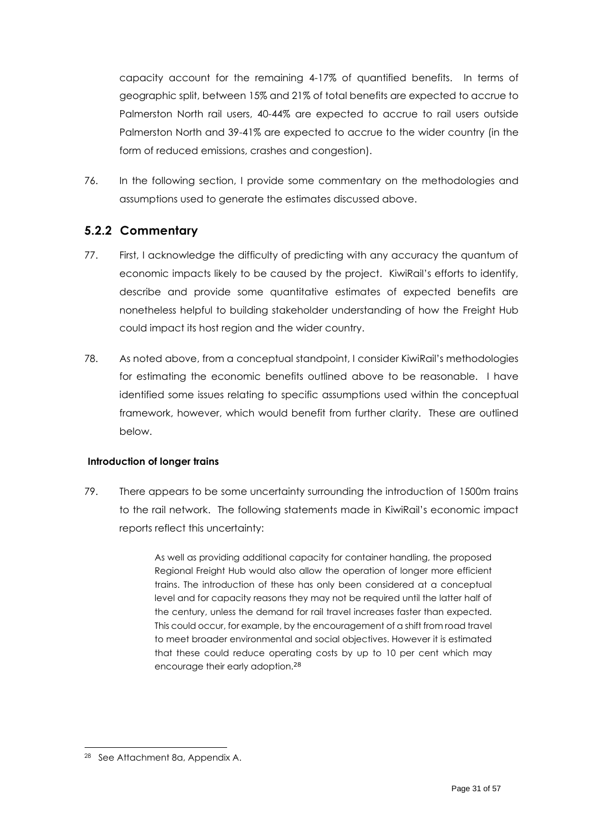capacity account for the remaining 4-17% of quantified benefits. In terms of geographic split, between 15% and 21% of total benefits are expected to accrue to Palmerston North rail users, 40-44% are expected to accrue to rail users outside Palmerston North and 39-41% are expected to accrue to the wider country (in the form of reduced emissions, crashes and congestion).

76. In the following section, I provide some commentary on the methodologies and assumptions used to generate the estimates discussed above.

### <span id="page-30-0"></span>**5.2.2 Commentary**

- 77. First, I acknowledge the difficulty of predicting with any accuracy the quantum of economic impacts likely to be caused by the project. KiwiRail's efforts to identify, describe and provide some quantitative estimates of expected benefits are nonetheless helpful to building stakeholder understanding of how the Freight Hub could impact its host region and the wider country.
- 78. As noted above, from a conceptual standpoint, I consider KiwiRail's methodologies for estimating the economic benefits outlined above to be reasonable. I have identified some issues relating to specific assumptions used within the conceptual framework, however, which would benefit from further clarity. These are outlined below.

#### **Introduction of longer trains**

79. There appears to be some uncertainty surrounding the introduction of 1500m trains to the rail network. The following statements made in KiwiRail's economic impact reports reflect this uncertainty:

> As well as providing additional capacity for container handling, the proposed Regional Freight Hub would also allow the operation of longer more efficient trains. The introduction of these has only been considered at a conceptual level and for capacity reasons they may not be required until the latter half of the century, unless the demand for rail travel increases faster than expected. This could occur, for example, by the encouragement of a shift from road travel to meet broader environmental and social objectives. However it is estimated that these could reduce operating costs by up to 10 per cent which may encourage their early adoption.<sup>28</sup>

<sup>28</sup> See Attachment 8a, Appendix A.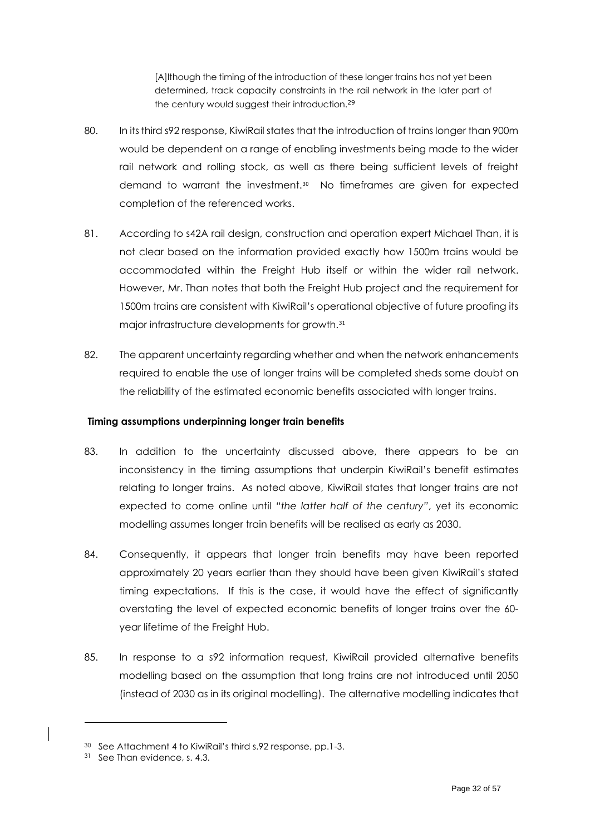[A]lthough the timing of the introduction of these longer trains has not yet been determined, track capacity constraints in the rail network in the later part of the century would suggest their introduction.<sup>29</sup>

- 80. In its third s92 response, KiwiRail states that the introduction of trains longer than 900m would be dependent on a range of enabling investments being made to the wider rail network and rolling stock, as well as there being sufficient levels of freight demand to warrant the investment.<sup>30</sup> No timeframes are given for expected completion of the referenced works.
- 81. According to s42A rail design, construction and operation expert Michael Than, it is not clear based on the information provided exactly how 1500m trains would be accommodated within the Freight Hub itself or within the wider rail network. However, Mr. Than notes that both the Freight Hub project and the requirement for 1500m trains are consistent with KiwiRail's operational objective of future proofing its major infrastructure developments for growth.<sup>31</sup>
- 82. The apparent uncertainty regarding whether and when the network enhancements required to enable the use of longer trains will be completed sheds some doubt on the reliability of the estimated economic benefits associated with longer trains.

#### **Timing assumptions underpinning longer train benefits**

- 83. In addition to the uncertainty discussed above, there appears to be an inconsistency in the timing assumptions that underpin KiwiRail's benefit estimates relating to longer trains. As noted above, KiwiRail states that longer trains are not expected to come online until *"the latter half of the century"*, yet its economic modelling assumes longer train benefits will be realised as early as 2030.
- 84. Consequently, it appears that longer train benefits may have been reported approximately 20 years earlier than they should have been given KiwiRail's stated timing expectations. If this is the case, it would have the effect of significantly overstating the level of expected economic benefits of longer trains over the 60 year lifetime of the Freight Hub.
- 85. In response to a s92 information request, KiwiRail provided alternative benefits modelling based on the assumption that long trains are not introduced until 2050 (instead of 2030 as in its original modelling). The alternative modelling indicates that

<sup>30</sup> See Attachment 4 to KiwiRail's third s.92 response, pp.1-3.

<sup>31</sup> See Than evidence, s. 4.3.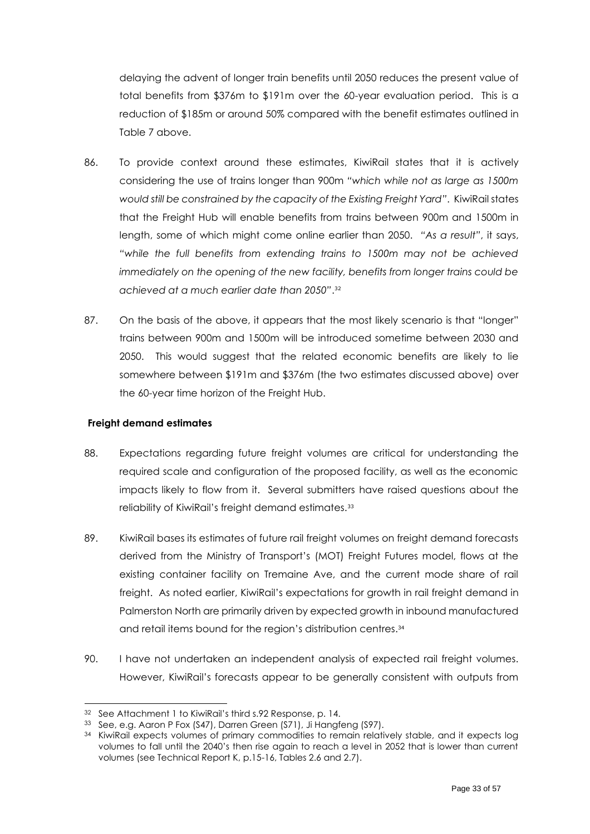delaying the advent of longer train benefits until 2050 reduces the present value of total benefits from \$376m to \$191m over the 60-year evaluation period. This is a reduction of \$185m or around 50% compared with the benefit estimates outlined in [Table 7](#page-28-1) above.

- 86. To provide context around these estimates, KiwiRail states that it is actively considering the use of trains longer than 900m *"which while not as large as 1500m would still be constrained by the capacity of the Existing Freight Yard"*. KiwiRail states that the Freight Hub will enable benefits from trains between 900m and 1500m in length, some of which might come online earlier than 2050. *"As a result"*, it says, *"while the full benefits from extending trains to 1500m may not be achieved immediately on the opening of the new facility, benefits from longer trains could be achieved at a much earlier date than 2050"*. 32
- 87. On the basis of the above, it appears that the most likely scenario is that "longer" trains between 900m and 1500m will be introduced sometime between 2030 and 2050. This would suggest that the related economic benefits are likely to lie somewhere between \$191m and \$376m (the two estimates discussed above) over the 60-year time horizon of the Freight Hub.

#### **Freight demand estimates**

- 88. Expectations regarding future freight volumes are critical for understanding the required scale and configuration of the proposed facility, as well as the economic impacts likely to flow from it. Several submitters have raised questions about the reliability of KiwiRail's freight demand estimates.<sup>33</sup>
- 89. KiwiRail bases its estimates of future rail freight volumes on freight demand forecasts derived from the Ministry of Transport's (MOT) Freight Futures model, flows at the existing container facility on Tremaine Ave, and the current mode share of rail freight. As noted earlier, KiwiRail's expectations for growth in rail freight demand in Palmerston North are primarily driven by expected growth in inbound manufactured and retail items bound for the region's distribution centres. 34
- 90. I have not undertaken an independent analysis of expected rail freight volumes. However, KiwiRail's forecasts appear to be generally consistent with outputs from

<sup>32</sup> See Attachment 1 to KiwiRail's third s.92 Response, p. 14.

<sup>33</sup> See, e.g. Aaron P Fox (S47), Darren Green (S71), Ji Hangfeng (S97).

<sup>&</sup>lt;sup>34</sup> KiwiRail expects volumes of primary commodities to remain relatively stable, and it expects log volumes to fall until the 2040's then rise again to reach a level in 2052 that is lower than current volumes (see Technical Report K, p.15-16, Tables 2.6 and 2.7).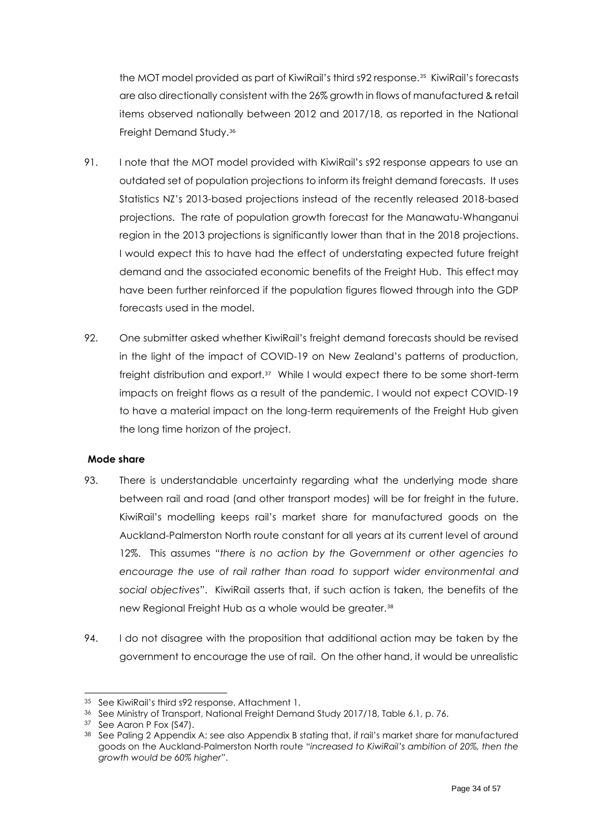the MOT model provided as part of KiwiRail's third s92 response.<sup>35</sup> KiwiRail's forecasts are also directionally consistent with the 26% growth in flows of manufactured & retail items observed nationally between 2012 and 2017/18, as reported in the National Freight Demand Study.<sup>36</sup>

- 91. I note that the MOT model provided with KiwiRail's s92 response appears to use an outdated set of population projections to inform its freight demand forecasts. It uses Statistics NZ's 2013-based projections instead of the recently released 2018-based projections. The rate of population growth forecast for the Manawatu-Whanganui region in the 2013 projections is significantly lower than that in the 2018 projections. I would expect this to have had the effect of understating expected future freight demand and the associated economic benefits of the Freight Hub. This effect may have been further reinforced if the population figures flowed through into the GDP forecasts used in the model.
- 92. One submitter asked whether KiwiRail's freight demand forecasts should be revised in the light of the impact of COVID-19 on New Zealand's patterns of production, freight distribution and export.<sup>37</sup> While I would expect there to be some short-term impacts on freight flows as a result of the pandemic, I would not expect COVID-19 to have a material impact on the long-term requirements of the Freight Hub given the long time horizon of the project.

#### **Mode share**

- 93. There is understandable uncertainty regarding what the underlying mode share between rail and road (and other transport modes) will be for freight in the future. KiwiRail's modelling keeps rail's market share for manufactured goods on the Auckland-Palmerston North route constant for all years at its current level of around 12%. This assumes *"there is no action by the Government or other agencies to encourage the use of rail rather than road to support wider environmental and social objectives"*. KiwiRail asserts that, if such action is taken, the benefits of the new Regional Freight Hub as a whole would be greater.<sup>38</sup>
- 94. I do not disagree with the proposition that additional action may be taken by the government to encourage the use of rail. On the other hand, it would be unrealistic

<sup>35</sup> See KiwiRail's third s92 response, Attachment 1.

<sup>36</sup> See Ministry of Transport, National Freight Demand Study 2017/18, Table 6.1, p. 76.

<sup>37</sup> See Aaron P Fox (S47).

<sup>38</sup> See Paling 2 Appendix A; see also Appendix B stating that, if rail's market share for manufactured goods on the Auckland-Palmerston North route *"increased to KiwiRail's ambition of 20%, then the growth would be 60% higher"*.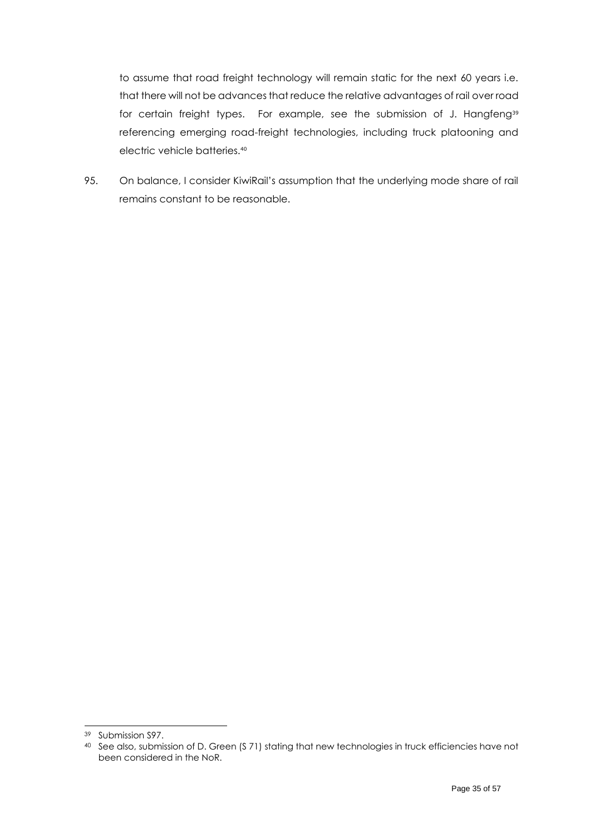to assume that road freight technology will remain static for the next 60 years i.e. that there will not be advances that reduce the relative advantages of rail over road for certain freight types. For example, see the submission of J. Hangfeng<sup>39</sup> referencing emerging road-freight technologies, including truck platooning and electric vehicle batteries.<sup>40</sup>

95. On balance, I consider KiwiRail's assumption that the underlying mode share of rail remains constant to be reasonable.

<sup>39</sup> Submission S97.

<sup>40</sup> See also, submission of D. Green (S 71) stating that new technologies in truck efficiencies have not been considered in the NoR.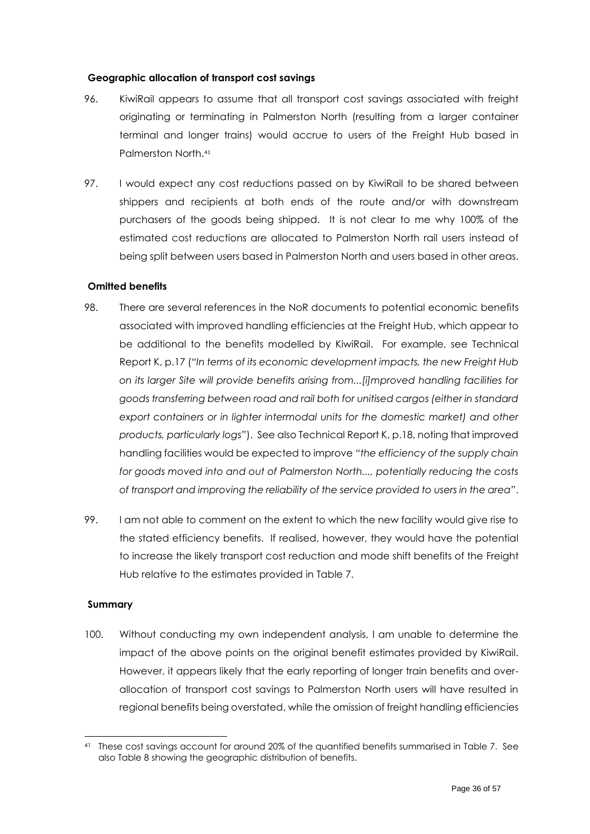#### **Geographic allocation of transport cost savings**

- 96. KiwiRail appears to assume that all transport cost savings associated with freight originating or terminating in Palmerston North (resulting from a larger container terminal and longer trains) would accrue to users of the Freight Hub based in Palmerston North.<sup>41</sup>
- 97. I would expect any cost reductions passed on by KiwiRail to be shared between shippers and recipients at both ends of the route and/or with downstream purchasers of the goods being shipped. It is not clear to me why 100% of the estimated cost reductions are allocated to Palmerston North rail users instead of being split between users based in Palmerston North and users based in other areas.

#### **Omitted benefits**

- 98. There are several references in the NoR documents to potential economic benefits associated with improved handling efficiencies at the Freight Hub, which appear to be additional to the benefits modelled by KiwiRail. For example, see Technical Report K, p.17 (*"In terms of its economic development impacts, the new Freight Hub on its larger Site will provide benefits arising from...[i]mproved handling facilities for goods transferring between road and rail both for unitised cargos (either in standard export containers or in lighter intermodal units for the domestic market) and other products, particularly logs"*). See also Technical Report K, p.18, noting that improved handling facilities would be expected to improve *"the efficiency of the supply chain for goods moved into and out of Palmerston North..., potentially reducing the costs of transport and improving the reliability of the service provided to users in the area"*.
- 99. I am not able to comment on the extent to which the new facility would give rise to the stated efficiency benefits. If realised, however, they would have the potential to increase the likely transport cost reduction and mode shift benefits of the Freight Hub relative to the estimates provided in [Table 7.](#page-28-1)

#### **Summary**

100. Without conducting my own independent analysis, I am unable to determine the impact of the above points on the original benefit estimates provided by KiwiRail. However, it appears likely that the early reporting of longer train benefits and overallocation of transport cost savings to Palmerston North users will have resulted in regional benefits being overstated, while the omission of freight handling efficiencies

<sup>41</sup> These cost savings account for around 20% of the quantified benefits summarised in [Table 7.](#page-28-1) See also [Table 8](#page-29-0) showing the geographic distribution of benefits.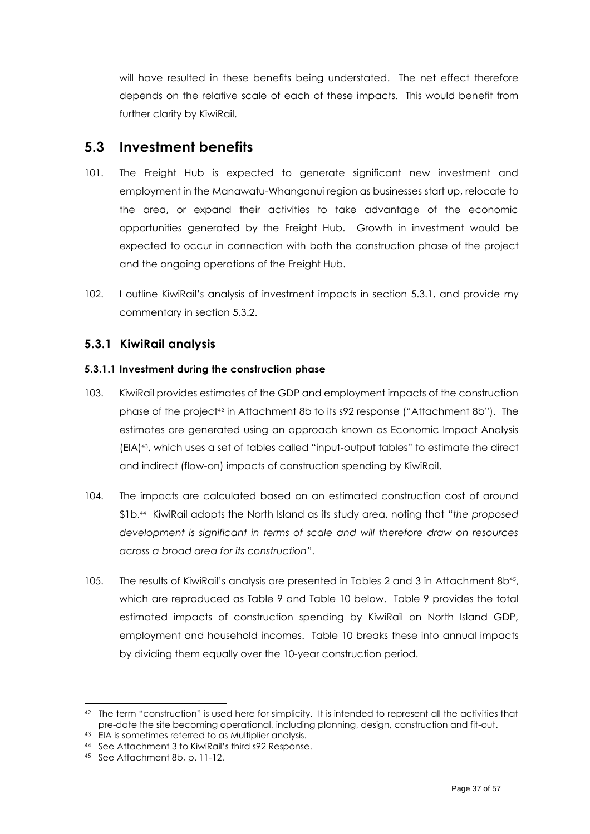will have resulted in these benefits being understated. The net effect therefore depends on the relative scale of each of these impacts. This would benefit from further clarity by KiwiRail.

## <span id="page-36-0"></span>**5.3 Investment benefits**

- 101. The Freight Hub is expected to generate significant new investment and employment in the Manawatu-Whanganui region as businesses start up, relocate to the area, or expand their activities to take advantage of the economic opportunities generated by the Freight Hub. Growth in investment would be expected to occur in connection with both the construction phase of the project and the ongoing operations of the Freight Hub.
- 102. I outline KiwiRail's analysis of investment impacts in section [5.3.1,](#page-36-1) and provide my commentary in section [5.3.2.](#page-39-0)

### <span id="page-36-1"></span>**5.3.1 KiwiRail analysis**

#### **5.3.1.1 Investment during the construction phase**

- 103. KiwiRail provides estimates of the GDP and employment impacts of the construction phase of the project<sup>42</sup> in Attachment 8b to its s92 response ("Attachment 8b"). The estimates are generated using an approach known as Economic Impact Analysis (EIA)43, which uses a set of tables called "input-output tables" to estimate the direct and indirect (flow-on) impacts of construction spending by KiwiRail.
- 104. The impacts are calculated based on an estimated construction cost of around \$1b.<sup>44</sup> KiwiRail adopts the North Island as its study area, noting that *"the proposed development is significant in terms of scale and will therefore draw on resources across a broad area for its construction"*.
- 105. The results of KiwiRail's analysis are presented in Tables 2 and 3 in Attachment 8b<sup>45</sup>, which are reproduced as [Table 9](#page-37-0) and [Table 10](#page-37-1) below. [Table 9](#page-37-0) provides the total estimated impacts of construction spending by KiwiRail on North Island GDP, employment and household incomes. [Table 10](#page-37-1) breaks these into annual impacts by dividing them equally over the 10-year construction period.

<sup>42</sup> The term "construction" is used here for simplicity. It is intended to represent all the activities that pre-date the site becoming operational, including planning, design, construction and fit-out.

<sup>43</sup> EIA is sometimes referred to as Multiplier analysis.

<sup>44</sup> See Attachment 3 to KiwiRail's third s92 Response.

<sup>45</sup> See Attachment 8b, p. 11-12.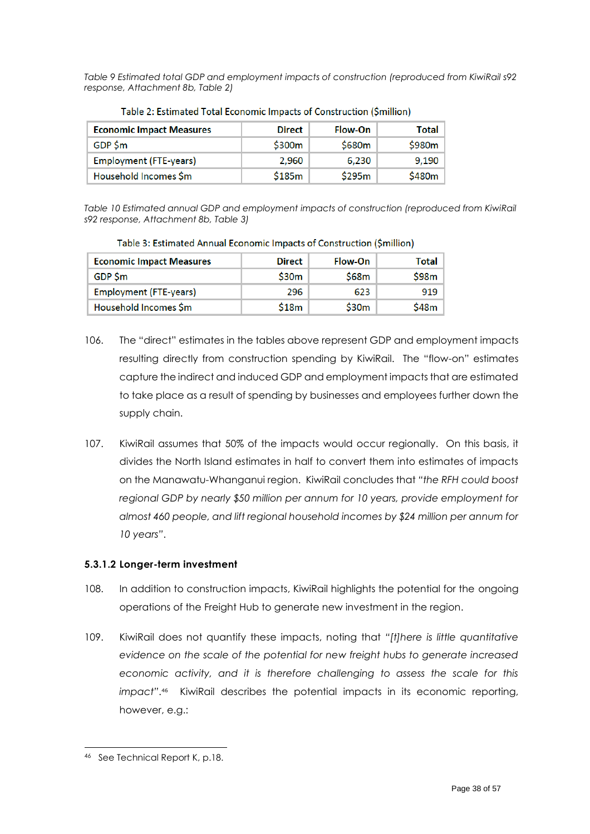<span id="page-37-0"></span>*Table 9 Estimated total GDP and employment impacts of construction (reproduced from KiwiRail s92 response, Attachment 8b, Table 2)*

| <b>Economic Impact Measures</b> | <b>Direct</b> | Flow-On | Total  |
|---------------------------------|---------------|---------|--------|
| GDP \$m                         | \$300m        | \$680m  | \$980m |
| <b>Employment (FTE-years)</b>   | 2.960         | 6,230   | 9,190  |
| Household Incomes \$m           | \$185m        | \$295m  | \$480m |

| Table 2: Estimated Total Economic Impacts of Construction (\$million) |  |  |
|-----------------------------------------------------------------------|--|--|
|                                                                       |  |  |

<span id="page-37-1"></span>*Table 10 Estimated annual GDP and employment impacts of construction (reproduced from KiwiRail s92 response, Attachment 8b, Table 3)*

| <b>Economic Impact Measures</b> | <b>Direct</b> | Flow-On | <b>Total</b> |
|---------------------------------|---------------|---------|--------------|
| GDP \$m                         | \$30m         | \$68m   | S98m         |
| <b>Employment (FTE-years)</b>   | 296           | 623     | 919          |
| Household Incomes \$m           | \$18m         | \$30m   | \$48m        |

Table 3: Estimated Annual Economic Impacts of Construction (\$million)

- 106. The "direct" estimates in the tables above represent GDP and employment impacts resulting directly from construction spending by KiwiRail. The "flow-on" estimates capture the indirect and induced GDP and employment impacts that are estimated to take place as a result of spending by businesses and employees further down the supply chain.
- 107. KiwiRail assumes that 50% of the impacts would occur regionally. On this basis, it divides the North Island estimates in half to convert them into estimates of impacts on the Manawatu-Whanganui region. KiwiRail concludes that *"the RFH could boost regional GDP by nearly \$50 million per annum for 10 years, provide employment for almost 460 people, and lift regional household incomes by \$24 million per annum for 10 years"*.

### **5.3.1.2 Longer-term investment**

- 108. In addition to construction impacts, KiwiRail highlights the potential for the ongoing operations of the Freight Hub to generate new investment in the region.
- 109. KiwiRail does not quantify these impacts, noting that *"[t]here is little quantitative evidence on the scale of the potential for new freight hubs to generate increased economic activity, and it is therefore challenging to assess the scale for this impact"*. 46 KiwiRail describes the potential impacts in its economic reporting, however, e.g.:

<sup>46</sup> See Technical Report K, p.18.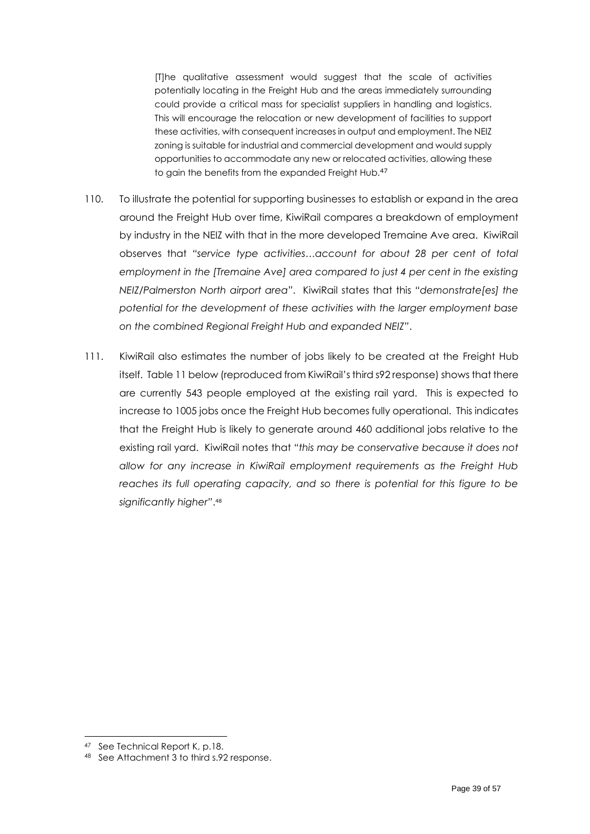[T]he qualitative assessment would suggest that the scale of activities potentially locating in the Freight Hub and the areas immediately surrounding could provide a critical mass for specialist suppliers in handling and logistics. This will encourage the relocation or new development of facilities to support these activities, with consequent increases in output and employment. The NEIZ zoning is suitable for industrial and commercial development and would supply opportunities to accommodate any new or relocated activities, allowing these to gain the benefits from the expanded Freight Hub.<sup>47</sup>

- 110. To illustrate the potential for supporting businesses to establish or expand in the area around the Freight Hub over time, KiwiRail compares a breakdown of employment by industry in the NEIZ with that in the more developed Tremaine Ave area. KiwiRail observes that *"service type activities…account for about 28 per cent of total employment in the [Tremaine Ave] area compared to just 4 per cent in the existing NEIZ/Palmerston North airport area"*. KiwiRail states that this *"demonstrate[es] the potential for the development of these activities with the larger employment base on the combined Regional Freight Hub and expanded NEIZ"*.
- 111. KiwiRail also estimates the number of jobs likely to be created at the Freight Hub itself. [Table 11](#page-39-1) below (reproduced from KiwiRail's third s92 response) shows that there are currently 543 people employed at the existing rail yard. This is expected to increase to 1005 jobs once the Freight Hub becomes fully operational. This indicates that the Freight Hub is likely to generate around 460 additional jobs relative to the existing rail yard. KiwiRail notes that *"this may be conservative because it does not allow for any increase in KiwiRail employment requirements as the Freight Hub reaches its full operating capacity, and so there is potential for this figure to be significantly higher"*. 48

<sup>47</sup> See Technical Report K, p.18.

<sup>48</sup> See Attachment 3 to third s.92 response.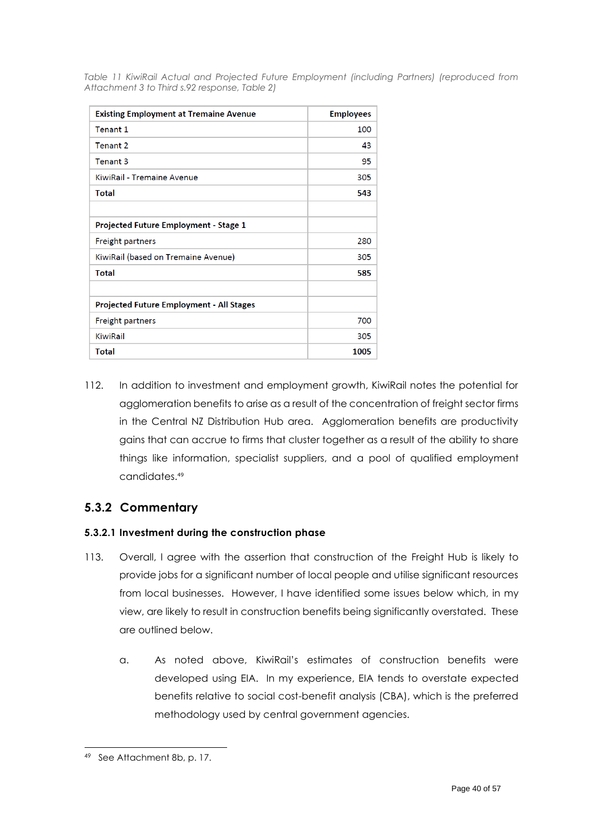<span id="page-39-1"></span>*Table 11 KiwiRail Actual and Projected Future Employment (including Partners) (reproduced from Attachment 3 to Third s.92 response, Table 2)*

| <b>Existing Employment at Tremaine Avenue</b>   | <b>Employees</b> |
|-------------------------------------------------|------------------|
| Tenant 1                                        | 100              |
| Tenant 2                                        | 43               |
| Tenant 3                                        | 95               |
| KiwiRail - Tremaine Avenue                      | 305              |
| Total                                           | 543              |
|                                                 |                  |
| <b>Projected Future Employment - Stage 1</b>    |                  |
| <b>Freight partners</b>                         | 280              |
| KiwiRail (based on Tremaine Avenue)             | 305              |
| Total                                           | 585              |
|                                                 |                  |
| <b>Projected Future Employment - All Stages</b> |                  |
| <b>Freight partners</b>                         | 700              |
| KiwiRail                                        | 305              |
| <b>Total</b>                                    | 1005             |

112. In addition to investment and employment growth, KiwiRail notes the potential for agglomeration benefits to arise as a result of the concentration of freight sector firms in the Central NZ Distribution Hub area. Agglomeration benefits are productivity gains that can accrue to firms that cluster together as a result of the ability to share things like information, specialist suppliers, and a pool of qualified employment candidates. 49

## <span id="page-39-0"></span>**5.3.2 Commentary**

### **5.3.2.1 Investment during the construction phase**

- 113. Overall, I agree with the assertion that construction of the Freight Hub is likely to provide jobs for a significant number of local people and utilise significant resources from local businesses. However, I have identified some issues below which, in my view, are likely to result in construction benefits being significantly overstated. These are outlined below.
	- a. As noted above, KiwiRail's estimates of construction benefits were developed using EIA. In my experience, EIA tends to overstate expected benefits relative to social cost-benefit analysis (CBA), which is the preferred methodology used by central government agencies.

<sup>49</sup> See Attachment 8b, p. 17.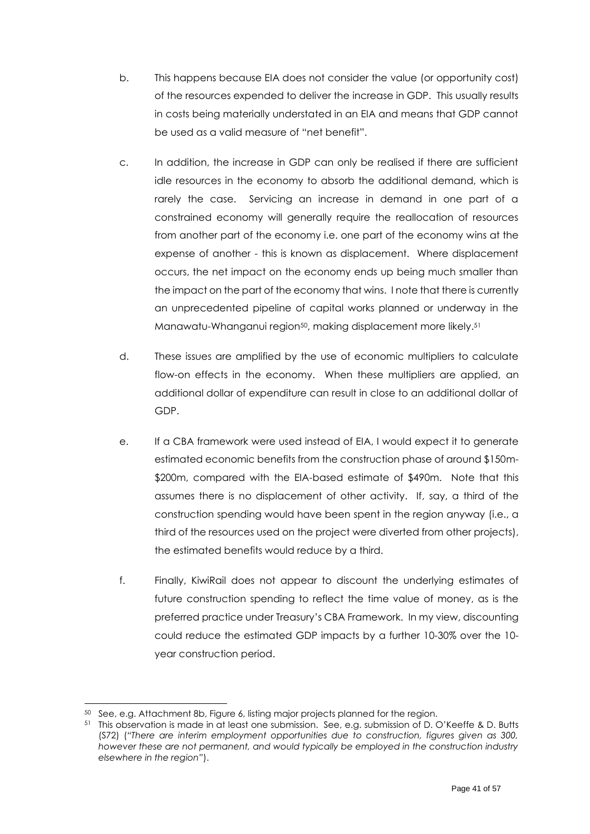- b. This happens because EIA does not consider the value (or opportunity cost) of the resources expended to deliver the increase in GDP. This usually results in costs being materially understated in an EIA and means that GDP cannot be used as a valid measure of "net benefit".
- c. In addition, the increase in GDP can only be realised if there are sufficient idle resources in the economy to absorb the additional demand, which is rarely the case. Servicing an increase in demand in one part of a constrained economy will generally require the reallocation of resources from another part of the economy i.e. one part of the economy wins at the expense of another - this is known as displacement. Where displacement occurs, the net impact on the economy ends up being much smaller than the impact on the part of the economy that wins. I note that there is currently an unprecedented pipeline of capital works planned or underway in the Manawatu-Whanganui region50, making displacement more likely. 51
- d. These issues are amplified by the use of economic multipliers to calculate flow-on effects in the economy. When these multipliers are applied, an additional dollar of expenditure can result in close to an additional dollar of GDP.
- e. If a CBA framework were used instead of EIA, I would expect it to generate estimated economic benefits from the construction phase of around \$150m- \$200m, compared with the EIA-based estimate of \$490m. Note that this assumes there is no displacement of other activity. If, say, a third of the construction spending would have been spent in the region anyway (i.e., a third of the resources used on the project were diverted from other projects), the estimated benefits would reduce by a third.
- f. Finally, KiwiRail does not appear to discount the underlying estimates of future construction spending to reflect the time value of money, as is the preferred practice under Treasury's CBA Framework. In my view, discounting could reduce the estimated GDP impacts by a further 10-30% over the 10 year construction period.

<sup>50</sup> See, e.g. Attachment 8b, Figure 6, listing major projects planned for the region.

<sup>51</sup> This observation is made in at least one submission. See, e.g. submission of D. O'Keeffe & D. Butts (S72) (*"There are interim employment opportunities due to construction, figures given as 300,*  however these are not permanent, and would typically be employed in the construction industry *elsewhere in the region"*).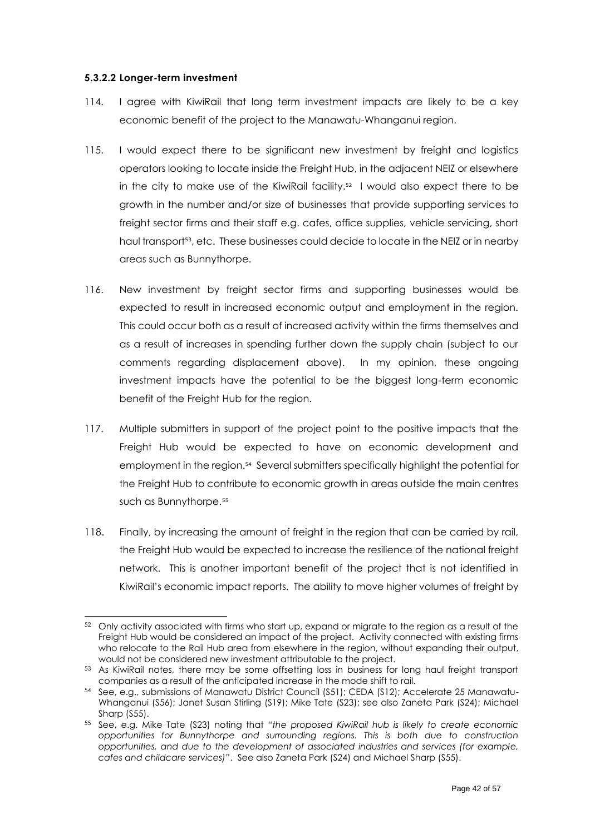#### **5.3.2.2 Longer-term investment**

- 114. I agree with KiwiRail that long term investment impacts are likely to be a key economic benefit of the project to the Manawatu-Whanganui region.
- 115. I would expect there to be significant new investment by freight and logistics operators looking to locate inside the Freight Hub, in the adjacent NEIZ or elsewhere in the city to make use of the KiwiRail facility. 52 I would also expect there to be growth in the number and/or size of businesses that provide supporting services to freight sector firms and their staff e.g. cafes, office supplies, vehicle servicing, short haul transport<sup>53</sup>, etc. These businesses could decide to locate in the NEIZ or in nearby areas such as Bunnythorpe.
- 116. New investment by freight sector firms and supporting businesses would be expected to result in increased economic output and employment in the region. This could occur both as a result of increased activity within the firms themselves and as a result of increases in spending further down the supply chain (subject to our comments regarding displacement above). In my opinion, these ongoing investment impacts have the potential to be the biggest long-term economic benefit of the Freight Hub for the region.
- 117. Multiple submitters in support of the project point to the positive impacts that the Freight Hub would be expected to have on economic development and employment in the region.<sup>54</sup> Several submitters specifically highlight the potential for the Freight Hub to contribute to economic growth in areas outside the main centres such as Bunnythorpe.<sup>55</sup>
- 118. Finally, by increasing the amount of freight in the region that can be carried by rail, the Freight Hub would be expected to increase the resilience of the national freight network. This is another important benefit of the project that is not identified in KiwiRail's economic impact reports. The ability to move higher volumes of freight by

<sup>52</sup> Only activity associated with firms who start up, expand or migrate to the region as a result of the Freight Hub would be considered an impact of the project. Activity connected with existing firms who relocate to the Rail Hub area from elsewhere in the region, without expanding their output, would not be considered new investment attributable to the project.

<sup>53</sup> As KiwiRail notes, there may be some offsetting loss in business for long haul freight transport companies as a result of the anticipated increase in the mode shift to rail.

<sup>54</sup> See, e.g., submissions of Manawatu District Council (S51); CEDA (S12); Accelerate 25 Manawatu-Whanganui (S56); Janet Susan Stirling (S19); Mike Tate (S23); see also Zaneta Park (S24); Michael Sharp (S55).

<sup>55</sup> See, e.g. Mike Tate (S23) noting that *"the proposed KiwiRail hub is likely to create economic opportunities for Bunnythorpe and surrounding regions. This is both due to construction opportunities, and due to the development of associated industries and services (for example, cafes and childcare services)"*. See also Zaneta Park (S24) and Michael Sharp (S55).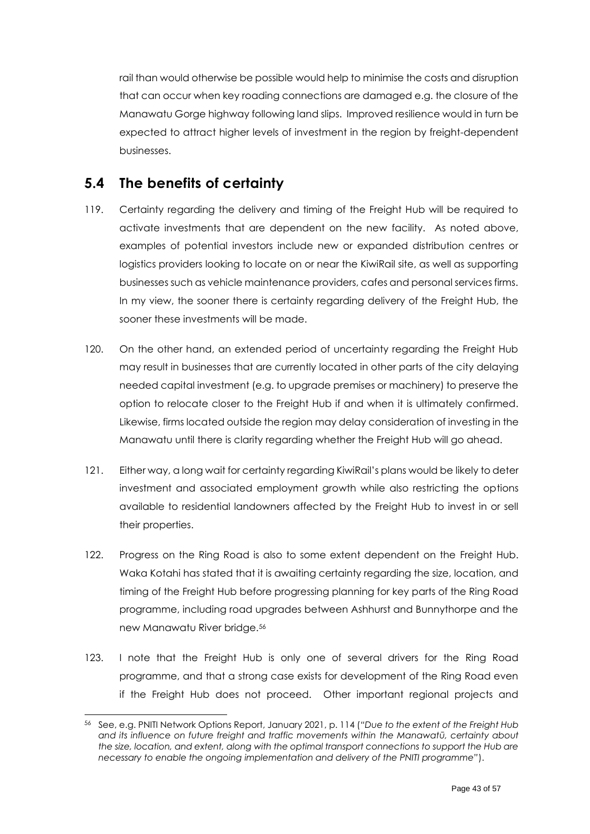rail than would otherwise be possible would help to minimise the costs and disruption that can occur when key roading connections are damaged e.g. the closure of the Manawatu Gorge highway following land slips. Improved resilience would in turn be expected to attract higher levels of investment in the region by freight-dependent businesses.

# <span id="page-42-0"></span>**5.4 The benefits of certainty**

- 119. Certainty regarding the delivery and timing of the Freight Hub will be required to activate investments that are dependent on the new facility. As noted above, examples of potential investors include new or expanded distribution centres or logistics providers looking to locate on or near the KiwiRail site, as well as supporting businesses such as vehicle maintenance providers, cafes and personal services firms. In my view, the sooner there is certainty regarding delivery of the Freight Hub, the sooner these investments will be made.
- 120. On the other hand, an extended period of uncertainty regarding the Freight Hub may result in businesses that are currently located in other parts of the city delaying needed capital investment (e.g. to upgrade premises or machinery) to preserve the option to relocate closer to the Freight Hub if and when it is ultimately confirmed. Likewise, firms located outside the region may delay consideration of investing in the Manawatu until there is clarity regarding whether the Freight Hub will go ahead.
- 121. Either way, a long wait for certainty regarding KiwiRail's plans would be likely to deter investment and associated employment growth while also restricting the options available to residential landowners affected by the Freight Hub to invest in or sell their properties.
- 122. Progress on the Ring Road is also to some extent dependent on the Freight Hub. Waka Kotahi has stated that it is awaiting certainty regarding the size, location, and timing of the Freight Hub before progressing planning for key parts of the Ring Road programme, including road upgrades between Ashhurst and Bunnythorpe and the new Manawatu River bridge.<sup>56</sup>
- 123. I note that the Freight Hub is only one of several drivers for the Ring Road programme, and that a strong case exists for development of the Ring Road even if the Freight Hub does not proceed. Other important regional projects and

<sup>56</sup> See, e.g. PNITI Network Options Report, January 2021, p. 114 (*"Due to the extent of the Freight Hub and its influence on future freight and traffic movements within the Manawatū, certainty about the size, location, and extent, along with the optimal transport connections to support the Hub are necessary to enable the ongoing implementation and delivery of the PNITI programme"*).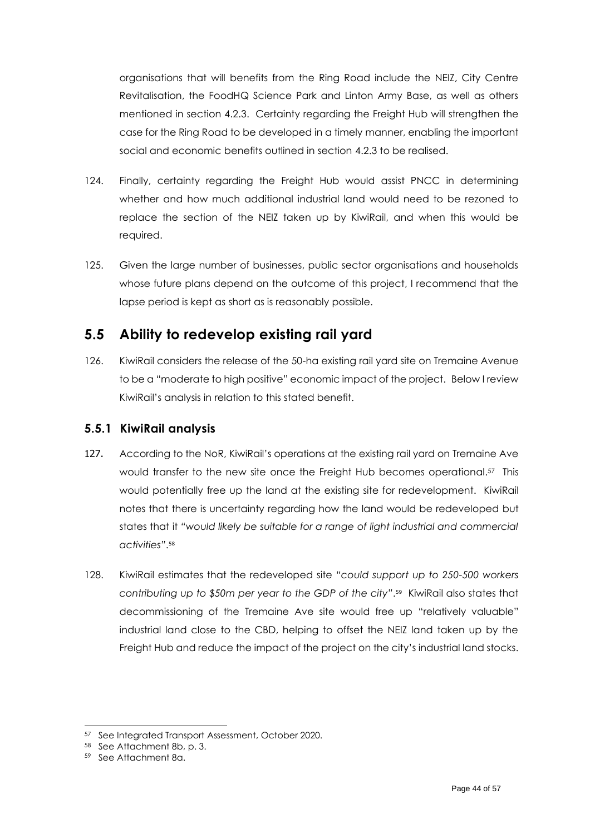organisations that will benefits from the Ring Road include the NEIZ, City Centre Revitalisation, the FoodHQ Science Park and Linton Army Base, as well as others mentioned in section [4.2.3.](#page-16-1) Certainty regarding the Freight Hub will strengthen the case for the Ring Road to be developed in a timely manner, enabling the important social and economic benefits outlined in section [4.2.3](#page-16-1) to be realised.

- 124. Finally, certainty regarding the Freight Hub would assist PNCC in determining whether and how much additional industrial land would need to be rezoned to replace the section of the NEIZ taken up by KiwiRail, and when this would be required.
- 125. Given the large number of businesses, public sector organisations and households whose future plans depend on the outcome of this project, I recommend that the lapse period is kept as short as is reasonably possible.

# <span id="page-43-0"></span>**5.5 Ability to redevelop existing rail yard**

126. KiwiRail considers the release of the 50-ha existing rail yard site on Tremaine Avenue to be a "moderate to high positive" economic impact of the project. Below I review KiwiRail's analysis in relation to this stated benefit.

### <span id="page-43-1"></span>**5.5.1 KiwiRail analysis**

- 127. According to the NoR, KiwiRail's operations at the existing rail yard on Tremaine Ave would transfer to the new site once the Freight Hub becomes operational. <sup>57</sup> This would potentially free up the land at the existing site for redevelopment. KiwiRail notes that there is uncertainty regarding how the land would be redeveloped but states that it *"would likely be suitable for a range of light industrial and commercial activities"*. 58
- 128. KiwiRail estimates that the redeveloped site *"could support up to 250-500 workers contributing up to \$50m per year to the GDP of the city"*. 59 KiwiRail also states that decommissioning of the Tremaine Ave site would free up "relatively valuable" industrial land close to the CBD, helping to offset the NEIZ land taken up by the Freight Hub and reduce the impact of the project on the city's industrial land stocks.

<sup>57</sup> See Integrated Transport Assessment, October 2020.

<sup>58</sup> See Attachment 8b, p. 3.

<sup>59</sup> See Attachment 8a.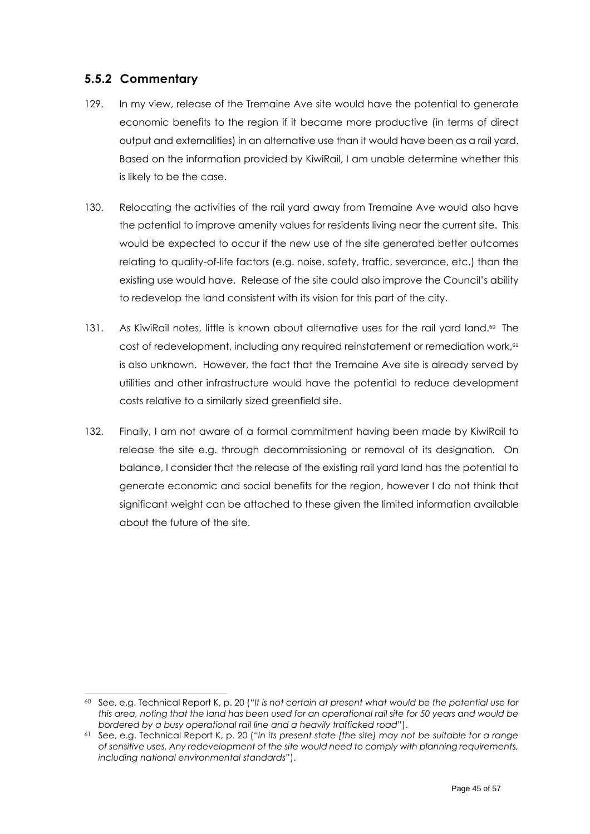### <span id="page-44-0"></span>**5.5.2 Commentary**

- 129. In my view, release of the Tremaine Ave site would have the potential to generate economic benefits to the region if it became more productive (in terms of direct output and externalities) in an alternative use than it would have been as a rail yard. Based on the information provided by KiwiRail, I am unable determine whether this is likely to be the case.
- 130. Relocating the activities of the rail yard away from Tremaine Ave would also have the potential to improve amenity values for residents living near the current site. This would be expected to occur if the new use of the site generated better outcomes relating to quality-of-life factors (e.g. noise, safety, traffic, severance, etc.) than the existing use would have. Release of the site could also improve the Council's ability to redevelop the land consistent with its vision for this part of the city.
- 131. As KiwiRail notes, little is known about alternative uses for the rail yard land.<sup>60</sup> The cost of redevelopment, including any required reinstatement or remediation work, 61 is also unknown. However, the fact that the Tremaine Ave site is already served by utilities and other infrastructure would have the potential to reduce development costs relative to a similarly sized greenfield site.
- 132. Finally, I am not aware of a formal commitment having been made by KiwiRail to release the site e.g. through decommissioning or removal of its designation. On balance, I consider that the release of the existing rail yard land has the potential to generate economic and social benefits for the region, however I do not think that significant weight can be attached to these given the limited information available about the future of the site.

<sup>60</sup> See, e.g. Technical Report K, p. 20 (*"It is not certain at present what would be the potential use for this area, noting that the land has been used for an operational rail site for 50 years and would be bordered by a busy operational rail line and a heavily trafficked road"*).

<sup>61</sup> See, e.g. Technical Report K, p. 20 (*"In its present state [the site] may not be suitable for a range of sensitive uses. Any redevelopment of the site would need to comply with planning requirements, including national environmental standards"*).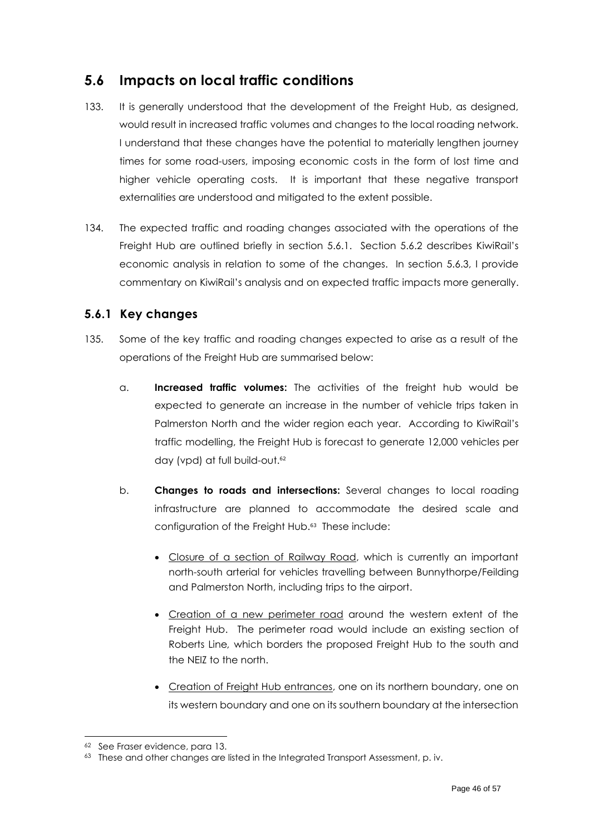# <span id="page-45-0"></span>**5.6 Impacts on local traffic conditions**

- 133. It is generally understood that the development of the Freight Hub, as designed, would result in increased traffic volumes and changes to the local roading network. I understand that these changes have the potential to materially lengthen journey times for some road-users, imposing economic costs in the form of lost time and higher vehicle operating costs. It is important that these negative transport externalities are understood and mitigated to the extent possible.
- 134. The expected traffic and roading changes associated with the operations of the Freight Hub are outlined briefly in section [5.6.1.](#page-45-1) Section [5.6.2](#page-46-0) describes KiwiRail's economic analysis in relation to some of the changes. In section [5.6.3,](#page-47-0) I provide commentary on KiwiRail's analysis and on expected traffic impacts more generally.

## <span id="page-45-1"></span>**5.6.1 Key changes**

- 135. Some of the key traffic and roading changes expected to arise as a result of the operations of the Freight Hub are summarised below:
	- a. **Increased traffic volumes:** The activities of the freight hub would be expected to generate an increase in the number of vehicle trips taken in Palmerston North and the wider region each year. According to KiwiRail's traffic modelling, the Freight Hub is forecast to generate 12,000 vehicles per day (vpd) at full build-out.<sup>62</sup>
	- b. **Changes to roads and intersections:** Several changes to local roading infrastructure are planned to accommodate the desired scale and configuration of the Freight Hub. 63 These include:
		- Closure of a section of Railway Road, which is currently an important north-south arterial for vehicles travelling between Bunnythorpe/Feilding and Palmerston North, including trips to the airport.
		- Creation of a new perimeter road around the western extent of the Freight Hub. The perimeter road would include an existing section of Roberts Line*,* which borders the proposed Freight Hub to the south and the NEIZ to the north.
		- Creation of Freight Hub entrances, one on its northern boundary, one on its western boundary and one on its southern boundary at the intersection

<sup>62</sup> See Fraser evidence, para 13.

<sup>&</sup>lt;sup>63</sup> These and other changes are listed in the Integrated Transport Assessment, p. iv.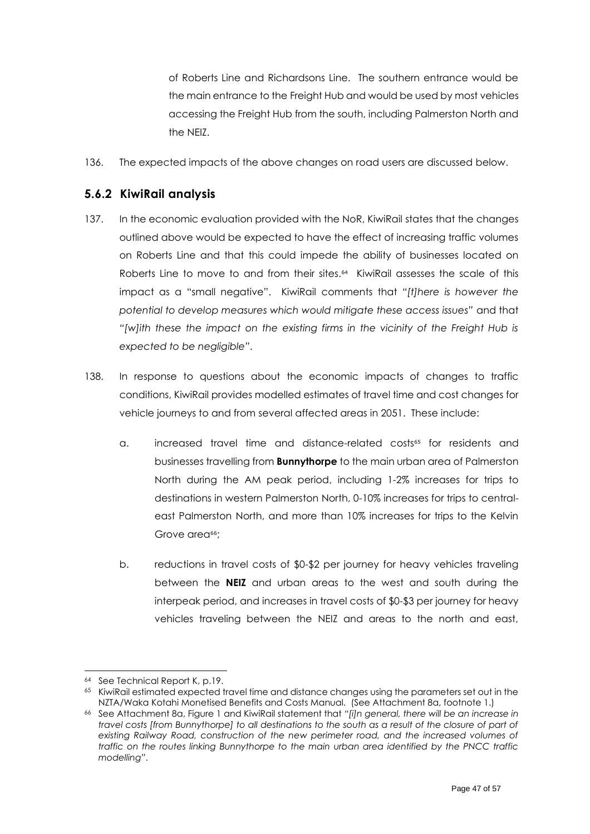of Roberts Line and Richardsons Line. The southern entrance would be the main entrance to the Freight Hub and would be used by most vehicles accessing the Freight Hub from the south, including Palmerston North and the NEIZ.

136. The expected impacts of the above changes on road users are discussed below.

## <span id="page-46-0"></span>**5.6.2 KiwiRail analysis**

- 137. In the economic evaluation provided with the NoR, KiwiRail states that the changes outlined above would be expected to have the effect of increasing traffic volumes on Roberts Line and that this could impede the ability of businesses located on Roberts Line to move to and from their sites.<sup>64</sup> KiwiRail assesses the scale of this impact as a "small negative". KiwiRail comments that *"[t]here is however the potential to develop measures which would mitigate these access issues"* and that *"[w]ith these the impact on the existing firms in the vicinity of the Freight Hub is expected to be negligible"*.
- 138. In response to questions about the economic impacts of changes to traffic conditions, KiwiRail provides modelled estimates of travel time and cost changes for vehicle journeys to and from several affected areas in 2051. These include:
	- a. increased travel time and distance-related costs<sup>65</sup> for residents and businesses travelling from **Bunnythorpe** to the main urban area of Palmerston North during the AM peak period, including 1-2% increases for trips to destinations in western Palmerston North, 0-10% increases for trips to centraleast Palmerston North, and more than 10% increases for trips to the Kelvin Grove area<sup>66</sup>:
	- b. reductions in travel costs of \$0-\$2 per journey for heavy vehicles traveling between the **NEIZ** and urban areas to the west and south during the interpeak period, and increases in travel costs of \$0-\$3 per journey for heavy vehicles traveling between the NEIZ and areas to the north and east,

<sup>64</sup> See Technical Report K, p.19.

<sup>&</sup>lt;sup>65</sup> KiwiRail estimated expected travel time and distance changes using the parameters set out in the NZTA/Waka Kotahi Monetised Benefits and Costs Manual. (See Attachment 8a, footnote 1.)

<sup>66</sup> See Attachment 8a, Figure 1 and KiwiRail statement that *"[i]n general, there will be an increase in travel costs [from Bunnythorpe] to all destinations to the south as a result of the closure of part of existing Railway Road, construction of the new perimeter road, and the increased volumes of traffic on the routes linking Bunnythorpe to the main urban area identified by the PNCC traffic modelling"*.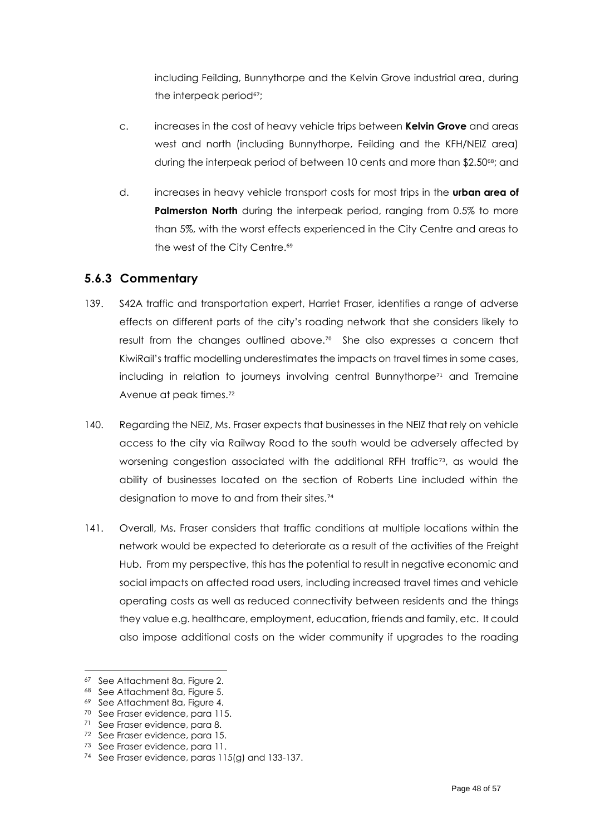including Feilding, Bunnythorpe and the Kelvin Grove industrial area, during the interpeak period<sup>67</sup>;

- c. increases in the cost of heavy vehicle trips between **Kelvin Grove** and areas west and north (including Bunnythorpe, Feilding and the KFH/NEIZ area) during the interpeak period of between 10 cents and more than \$2.50<sup>68</sup>; and
- d. increases in heavy vehicle transport costs for most trips in the **urban area of Palmerston North** during the interpeak period, ranging from 0.5% to more than 5%, with the worst effects experienced in the City Centre and areas to the west of the City Centre.<sup>69</sup>

### <span id="page-47-0"></span>**5.6.3 Commentary**

- 139. S42A traffic and transportation expert, Harriet Fraser, identifies a range of adverse effects on different parts of the city's roading network that she considers likely to result from the changes outlined above. 70 She also expresses a concern that KiwiRail's traffic modelling underestimates the impacts on travel times in some cases, including in relation to journeys involving central Bunnythorpe<sup>71</sup> and Tremaine Avenue at peak times.<sup>72</sup>
- 140. Regarding the NEIZ, Ms. Fraser expects that businesses in the NEIZ that rely on vehicle access to the city via Railway Road to the south would be adversely affected by worsening congestion associated with the additional RFH traffic<sup>73</sup>, as would the ability of businesses located on the section of Roberts Line included within the designation to move to and from their sites.<sup>74</sup>
- 141. Overall, Ms. Fraser considers that traffic conditions at multiple locations within the network would be expected to deteriorate as a result of the activities of the Freight Hub. From my perspective, this has the potential to result in negative economic and social impacts on affected road users, including increased travel times and vehicle operating costs as well as reduced connectivity between residents and the things they value e.g. healthcare, employment, education, friends and family, etc. It could also impose additional costs on the wider community if upgrades to the roading

<sup>67</sup> See Attachment 8a, Figure 2.

<sup>68</sup> See Attachment 8a, Figure 5.

<sup>69</sup> See Attachment 8a, Figure 4.

<sup>70</sup> See Fraser evidence, para 115.

<sup>71</sup> See Fraser evidence, para 8.

<sup>72</sup> See Fraser evidence, para 15.

<sup>73</sup> See Fraser evidence, para 11.

<sup>74</sup> See Fraser evidence, paras 115(g) and 133-137.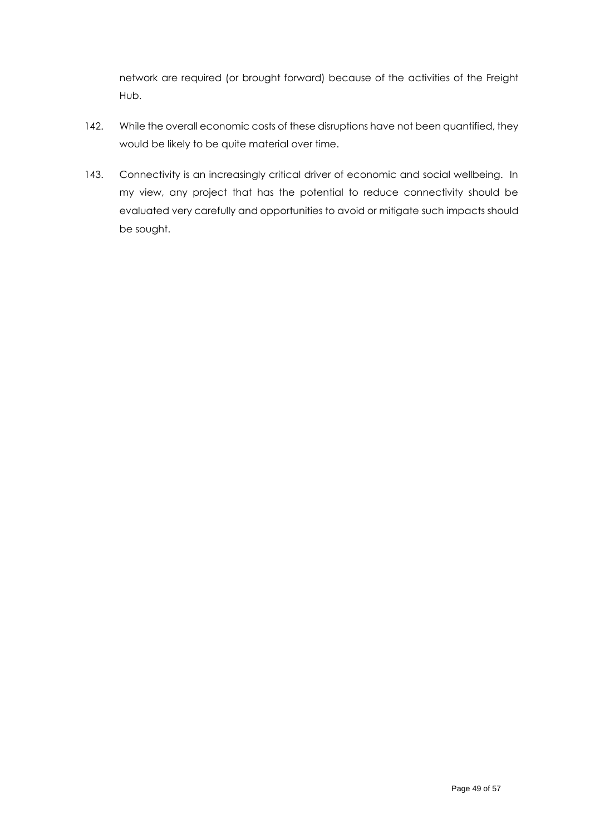network are required (or brought forward) because of the activities of the Freight Hub.

- 142. While the overall economic costs of these disruptions have not been quantified, they would be likely to be quite material over time.
- 143. Connectivity is an increasingly critical driver of economic and social wellbeing. In my view, any project that has the potential to reduce connectivity should be evaluated very carefully and opportunities to avoid or mitigate such impacts should be sought.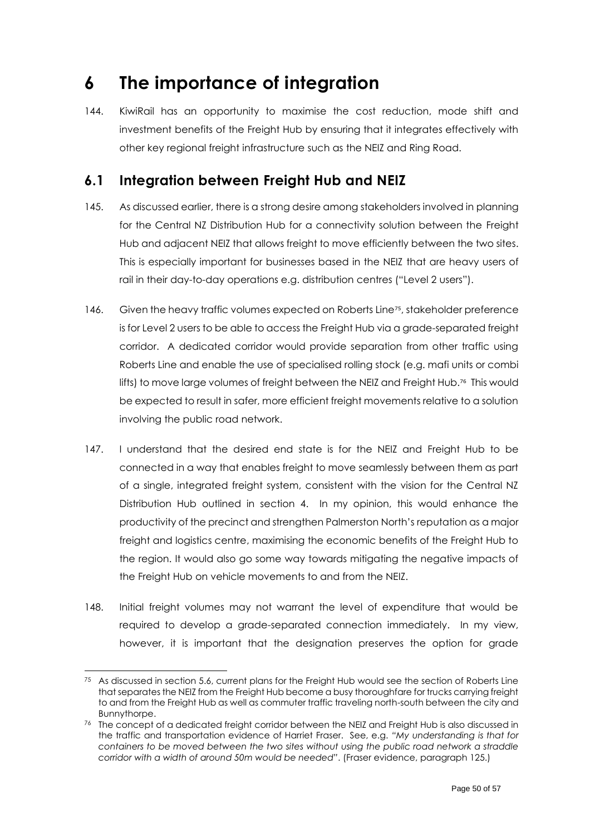# <span id="page-49-0"></span>**6 The importance of integration**

144. KiwiRail has an opportunity to maximise the cost reduction, mode shift and investment benefits of the Freight Hub by ensuring that it integrates effectively with other key regional freight infrastructure such as the NEIZ and Ring Road.

# <span id="page-49-1"></span>**6.1 Integration between Freight Hub and NEIZ**

- 145. As discussed earlier, there is a strong desire among stakeholders involved in planning for the Central NZ Distribution Hub for a connectivity solution between the Freight Hub and adjacent NEIZ that allows freight to move efficiently between the two sites. This is especially important for businesses based in the NEIZ that are heavy users of rail in their day-to-day operations e.g. distribution centres ("Level 2 users").
- 146. Given the heavy traffic volumes expected on Roberts Line<sup>75</sup>, stakeholder preference is for Level 2 users to be able to access the Freight Hub via a grade-separated freight corridor. A dedicated corridor would provide separation from other traffic using Roberts Line and enable the use of specialised rolling stock (e.g. mafi units or combi lifts) to move large volumes of freight between the NEIZ and Freight Hub.<sup>76</sup> This would be expected to result in safer, more efficient freight movements relative to a solution involving the public road network.
- 147. I understand that the desired end state is for the NEIZ and Freight Hub to be connected in a way that enables freight to move seamlessly between them as part of a single, integrated freight system, consistent with the vision for the Central NZ Distribution Hub outlined in section [4.](#page-14-0) In my opinion, this would enhance the productivity of the precinct and strengthen Palmerston North's reputation as a major freight and logistics centre, maximising the economic benefits of the Freight Hub to the region. It would also go some way towards mitigating the negative impacts of the Freight Hub on vehicle movements to and from the NEIZ.
- 148. Initial freight volumes may not warrant the level of expenditure that would be required to develop a grade-separated connection immediately. In my view, however, it is important that the designation preserves the option for grade

<sup>75</sup> As discussed in section [5.6,](#page-45-0) current plans for the Freight Hub would see the section of Roberts Line that separates the NEIZ from the Freight Hub become a busy thoroughfare for trucks carrying freight to and from the Freight Hub as well as commuter traffic traveling north-south between the city and Bunnythorpe.

<sup>76</sup> The concept of a dedicated freight corridor between the NEIZ and Freight Hub is also discussed in the traffic and transportation evidence of Harriet Fraser. See, e.g. *"My understanding is that for containers to be moved between the two sites without using the public road network a straddle corridor with a width of around 50m would be needed"*. (Fraser evidence, paragraph 125.)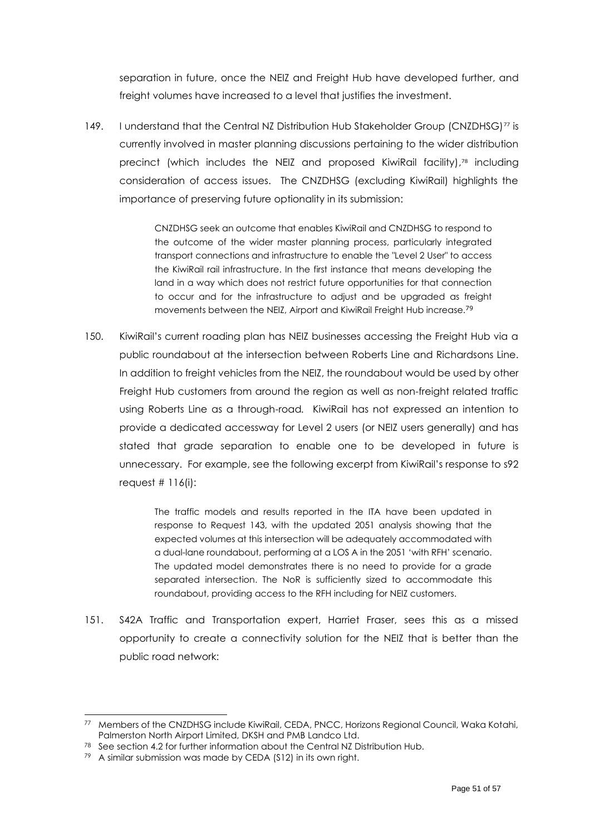separation in future, once the NEIZ and Freight Hub have developed further, and freight volumes have increased to a level that justifies the investment.

149. I understand that the Central NZ Distribution Hub Stakeholder Group (CNZDHSG)<sup>77</sup> is currently involved in master planning discussions pertaining to the wider distribution precinct (which includes the NEIZ and proposed KiwiRail facility), <sup>78</sup> including consideration of access issues. The CNZDHSG (excluding KiwiRail) highlights the importance of preserving future optionality in its submission:

> CNZDHSG seek an outcome that enables KiwiRail and CNZDHSG to respond to the outcome of the wider master planning process, particularly integrated transport connections and infrastructure to enable the "Level 2 User" to access the KiwiRail rail infrastructure. In the first instance that means developing the land in a way which does not restrict future opportunities for that connection to occur and for the infrastructure to adjust and be upgraded as freight movements between the NEIZ, Airport and KiwiRail Freight Hub increase.<sup>79</sup>

150. KiwiRail's current roading plan has NEIZ businesses accessing the Freight Hub via a public roundabout at the intersection between Roberts Line and Richardsons Line. In addition to freight vehicles from the NEIZ, the roundabout would be used by other Freight Hub customers from around the region as well as non-freight related traffic using Roberts Line as a through-road*.* KiwiRail has not expressed an intention to provide a dedicated accessway for Level 2 users (or NEIZ users generally) and has stated that grade separation to enable one to be developed in future is unnecessary. For example, see the following excerpt from KiwiRail's response to s92 request  $# 116(i)$ :

> The traffic models and results reported in the ITA have been updated in response to Request 143, with the updated 2051 analysis showing that the expected volumes at this intersection will be adequately accommodated with a dual-lane roundabout, performing at a LOS A in the 2051 'with RFH' scenario. The updated model demonstrates there is no need to provide for a grade separated intersection. The NoR is sufficiently sized to accommodate this roundabout, providing access to the RFH including for NEIZ customers.

151. S42A Traffic and Transportation expert, Harriet Fraser, sees this as a missed opportunity to create a connectivity solution for the NEIZ that is better than the public road network:

<sup>77</sup> Members of the CNZDHSG include KiwiRail, CEDA, PNCC, Horizons Regional Council, Waka Kotahi, Palmerston North Airport Limited, DKSH and PMB Landco Ltd.

<sup>78</sup> See section [4.2](#page-15-0) for further information about the Central NZ Distribution Hub.

<sup>79</sup> A similar submission was made by CEDA (S12) in its own right.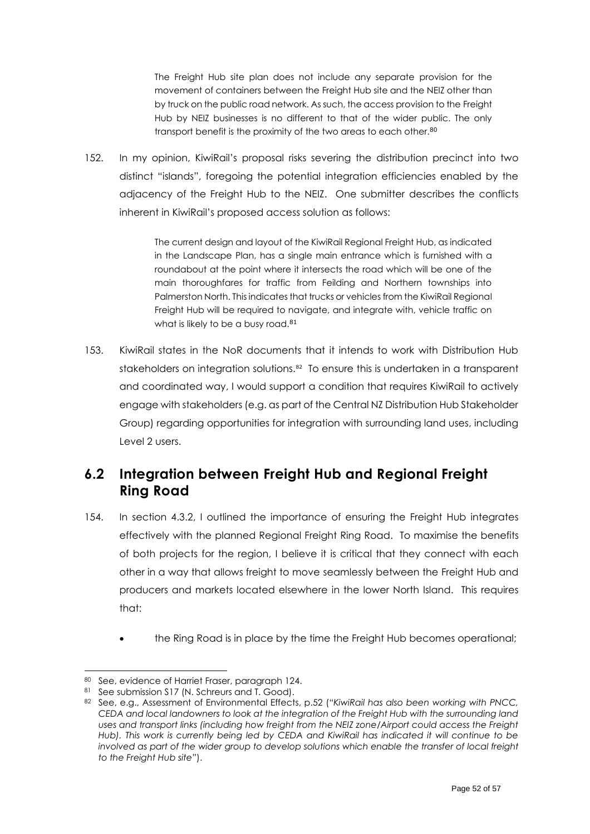The Freight Hub site plan does not include any separate provision for the movement of containers between the Freight Hub site and the NEIZ other than by truck on the public road network. As such, the access provision to the Freight Hub by NEIZ businesses is no different to that of the wider public. The only transport benefit is the proximity of the two areas to each other.<sup>80</sup>

152. In my opinion, KiwiRail's proposal risks severing the distribution precinct into two distinct "islands", foregoing the potential integration efficiencies enabled by the adjacency of the Freight Hub to the NEIZ. One submitter describes the conflicts inherent in KiwiRail's proposed access solution as follows:

> The current design and layout of the KiwiRail Regional Freight Hub, as indicated in the Landscape Plan, has a single main entrance which is furnished with a roundabout at the point where it intersects the road which will be one of the main thoroughfares for traffic from Feilding and Northern townships into Palmerston North. This indicates that trucks or vehicles from the KiwiRail Regional Freight Hub will be required to navigate, and integrate with, vehicle traffic on what is likely to be a busy road.<sup>81</sup>

153. KiwiRail states in the NoR documents that it intends to work with Distribution Hub stakeholders on integration solutions.<sup>82</sup> To ensure this is undertaken in a transparent and coordinated way, I would support a condition that requires KiwiRail to actively engage with stakeholders (e.g. as part of the Central NZ Distribution Hub Stakeholder Group) regarding opportunities for integration with surrounding land uses, including Level 2 users.

# <span id="page-51-0"></span>**6.2 Integration between Freight Hub and Regional Freight Ring Road**

- <span id="page-51-1"></span>154. In section [4.3.2,](#page-22-0) I outlined the importance of ensuring the Freight Hub integrates effectively with the planned Regional Freight Ring Road. To maximise the benefits of both projects for the region, I believe it is critical that they connect with each other in a way that allows freight to move seamlessly between the Freight Hub and producers and markets located elsewhere in the lower North Island. This requires that:
	- the Ring Road is in place by the time the Freight Hub becomes operational;

<sup>80</sup> See, evidence of Harriet Fraser, paragraph 124.

<sup>81</sup> See submission S17 (N. Schreurs and T. Good).

<sup>82</sup> See, e.g., Assessment of Environmental Effects, p.52 (*"KiwiRail has also been working with PNCC, CEDA and local landowners to look at the integration of the Freight Hub with the surrounding land uses and transport links (including how freight from the NEIZ zone/Airport could access the Freight Hub). This work is currently being led by CEDA and KiwiRail has indicated it will continue to be involved as part of the wider group to develop solutions which enable the transfer of local freight to the Freight Hub site"*).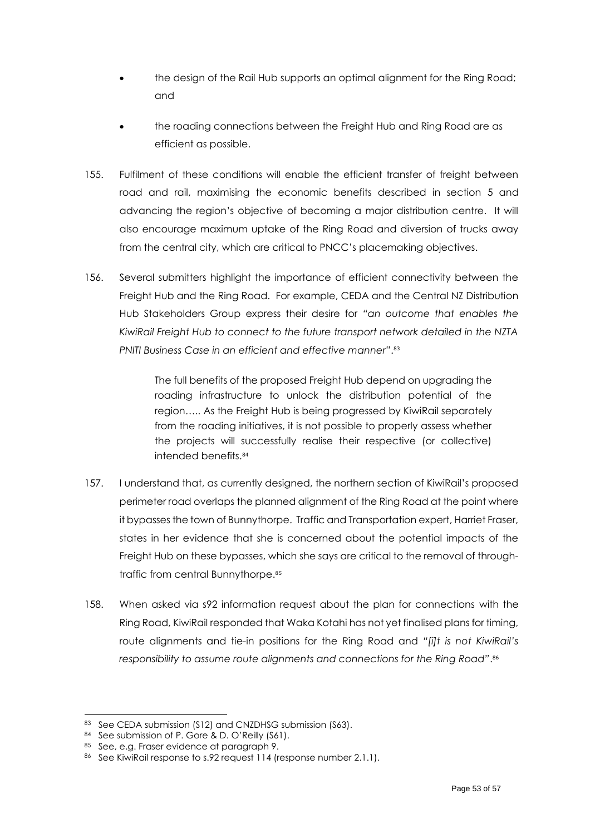- the design of the Rail Hub supports an optimal alignment for the Ring Road; and
- the roading connections between the Freight Hub and Ring Road are as efficient as possible.
- 155. Fulfilment of these conditions will enable the efficient transfer of freight between road and rail, maximising the economic benefits described in section [5](#page-23-0) and advancing the region's objective of becoming a major distribution centre. It will also encourage maximum uptake of the Ring Road and diversion of trucks away from the central city, which are critical to PNCC's placemaking objectives.
- 156. Several submitters highlight the importance of efficient connectivity between the Freight Hub and the Ring Road. For example, CEDA and the Central NZ Distribution Hub Stakeholders Group express their desire for *"an outcome that enables the KiwiRail Freight Hub to connect to the future transport network detailed in the NZTA PNITI Business Case in an efficient and effective manner"*. 83

The full benefits of the proposed Freight Hub depend on upgrading the roading infrastructure to unlock the distribution potential of the region….. As the Freight Hub is being progressed by KiwiRail separately from the roading initiatives, it is not possible to properly assess whether the projects will successfully realise their respective (or collective) intended benefits.<sup>84</sup>

- 157. I understand that, as currently designed, the northern section of KiwiRail's proposed perimeter road overlaps the planned alignment of the Ring Road at the point where it bypasses the town of Bunnythorpe. Traffic and Transportation expert, Harriet Fraser, states in her evidence that she is concerned about the potential impacts of the Freight Hub on these bypasses, which she says are critical to the removal of throughtraffic from central Bunnythorpe. 85
- 158. When asked via s92 information request about the plan for connections with the Ring Road, KiwiRail responded that Waka Kotahi has not yet finalised plans for timing, route alignments and tie-in positions for the Ring Road and *"[i]t is not KiwiRail's responsibility to assume route alignments and connections for the Ring Road"*. 86

<sup>83</sup> See CEDA submission (S12) and CNZDHSG submission (S63).

<sup>84</sup> See submission of P. Gore & D. O'Reilly (S61).

<sup>85</sup> See, e.g. Fraser evidence at paragraph 9.

<sup>86</sup> See KiwiRail response to s.92 request 114 (response number 2.1.1).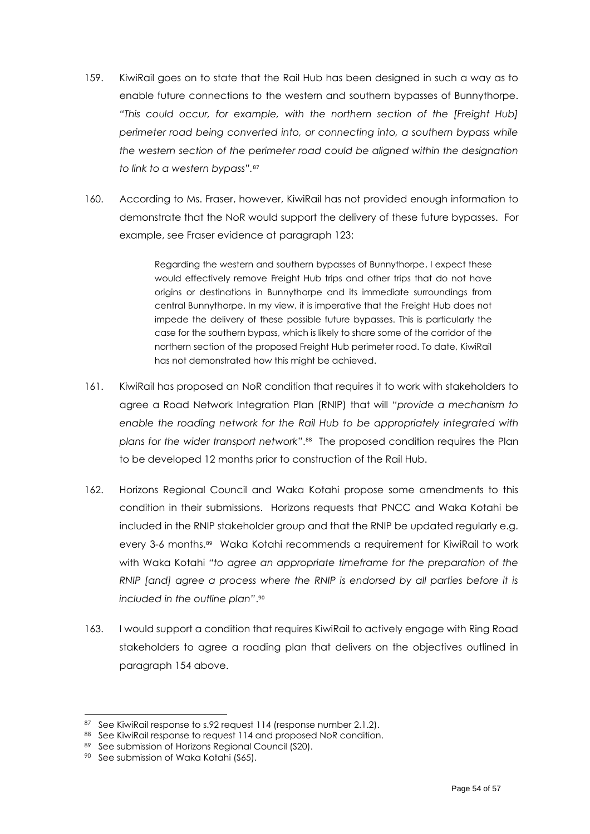- 159. KiwiRail goes on to state that the Rail Hub has been designed in such a way as to enable future connections to the western and southern bypasses of Bunnythorpe. *"This could occur, for example, with the northern section of the [Freight Hub] perimeter road being converted into, or connecting into, a southern bypass while the western section of the perimeter road could be aligned within the designation to link to a western bypass".* 87
- 160. According to Ms. Fraser, however, KiwiRail has not provided enough information to demonstrate that the NoR would support the delivery of these future bypasses. For example, see Fraser evidence at paragraph 123:

Regarding the western and southern bypasses of Bunnythorpe, I expect these would effectively remove Freight Hub trips and other trips that do not have origins or destinations in Bunnythorpe and its immediate surroundings from central Bunnythorpe. In my view, it is imperative that the Freight Hub does not impede the delivery of these possible future bypasses. This is particularly the case for the southern bypass, which is likely to share some of the corridor of the northern section of the proposed Freight Hub perimeter road. To date, KiwiRail has not demonstrated how this might be achieved.

- 161. KiwiRail has proposed an NoR condition that requires it to work with stakeholders to agree a Road Network Integration Plan (RNIP) that will *"provide a mechanism to enable the roading network for the Rail Hub to be appropriately integrated with plans for the wider transport network"*. 88 The proposed condition requires the Plan to be developed 12 months prior to construction of the Rail Hub.
- 162. Horizons Regional Council and Waka Kotahi propose some amendments to this condition in their submissions. Horizons requests that PNCC and Waka Kotahi be included in the RNIP stakeholder group and that the RNIP be updated regularly e.g. every 3-6 months.<sup>89</sup> Waka Kotahi recommends a requirement for KiwiRail to work with Waka Kotahi *"to agree an appropriate timeframe for the preparation of the RNIP [and] agree a process where the RNIP is endorsed by all parties before it is included in the outline plan"*. 90
- 163. I would support a condition that requires KiwiRail to actively engage with Ring Road stakeholders to agree a roading plan that delivers on the objectives outlined in paragraph [154](#page-51-1) above.

<sup>87</sup> See KiwiRail response to s.92 request 114 (response number 2.1.2).

<sup>88</sup> See KiwiRail response to request 114 and proposed NoR condition.

<sup>89</sup> See submission of Horizons Regional Council (S20).

<sup>90</sup> See submission of Waka Kotahi (S65).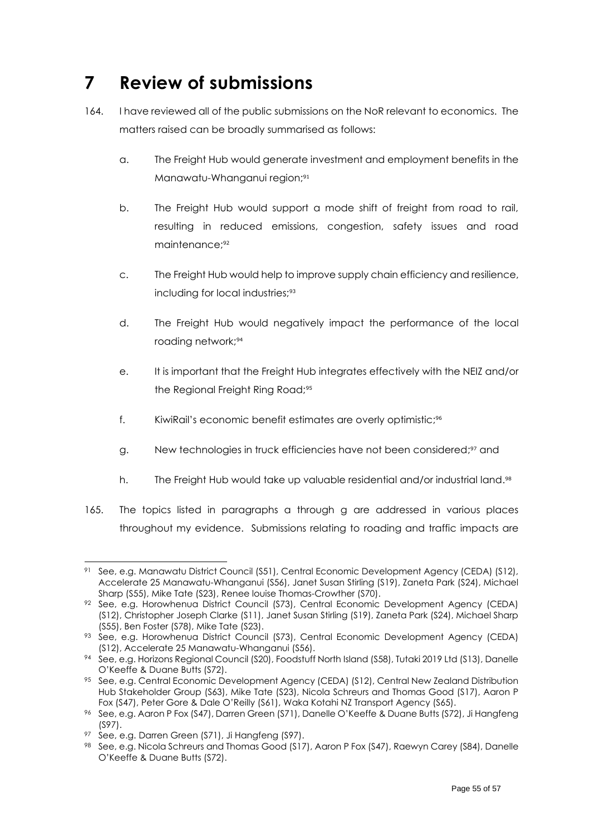# <span id="page-54-0"></span>**7 Review of submissions**

- 164. I have reviewed all of the public submissions on the NoR relevant to economics. The matters raised can be broadly summarised as follows:
	- a. The Freight Hub would generate investment and employment benefits in the Manawatu-Whanganui region; 91
	- b. The Freight Hub would support a mode shift of freight from road to rail, resulting in reduced emissions, congestion, safety issues and road maintenance; 92
	- c. The Freight Hub would help to improve supply chain efficiency and resilience, including for local industries; 93
	- d. The Freight Hub would negatively impact the performance of the local roading network; 94
	- e. It is important that the Freight Hub integrates effectively with the NEIZ and/or the Regional Freight Ring Road;<sup>95</sup>
	- f. KiwiRail's economic benefit estimates are overly optimistic; 96
	- g. New technologies in truck efficiencies have not been considered; <sup>97</sup> and
	- h. The Freight Hub would take up valuable residential and/or industrial land. 98
- 165. The topics listed in paragraphs a through g are addressed in various places throughout my evidence. Submissions relating to roading and traffic impacts are

<sup>91</sup> See, e.g. Manawatu District Council (S51), Central Economic Development Agency (CEDA) (S12), Accelerate 25 Manawatu-Whanganui (S56), Janet Susan Stirling (S19), Zaneta Park (S24), Michael Sharp (S55), Mike Tate (S23), Renee louise Thomas-Crowther (S70).

<sup>92</sup> See, e.g. Horowhenua District Council (S73), Central Economic Development Agency (CEDA) (S12), Christopher Joseph Clarke (S11), Janet Susan Stirling (S19), Zaneta Park (S24), Michael Sharp (S55), Ben Foster (S78), Mike Tate (S23).

<sup>93</sup> See, e.g. Horowhenua District Council (S73), Central Economic Development Agency (CEDA) (S12), Accelerate 25 Manawatu-Whanganui (S56).

<sup>94</sup> See, e.g. Horizons Regional Council (S20), Foodstuff North Island (S58), Tutaki 2019 Ltd (S13), Danelle O'Keeffe & Duane Butts (S72).

<sup>95</sup> See, e.g. Central Economic Development Agency (CEDA) (S12), Central New Zealand Distribution Hub Stakeholder Group (S63), Mike Tate (S23), Nicola Schreurs and Thomas Good (S17), Aaron P Fox (S47), Peter Gore & Dale O'Reilly (S61), Waka Kotahi NZ Transport Agency (S65).

<sup>96</sup> See, e.g. Aaron P Fox (S47), Darren Green (S71), Danelle O'Keeffe & Duane Butts (S72), Ji Hangfeng (S97).

<sup>97</sup> See, e.g. Darren Green (S71), Ji Hangfeng (S97).

<sup>98</sup> See, e.g. Nicola Schreurs and Thomas Good (S17), Aaron P Fox (S47), Raewyn Carey (S84), Danelle O'Keeffe & Duane Butts (S72).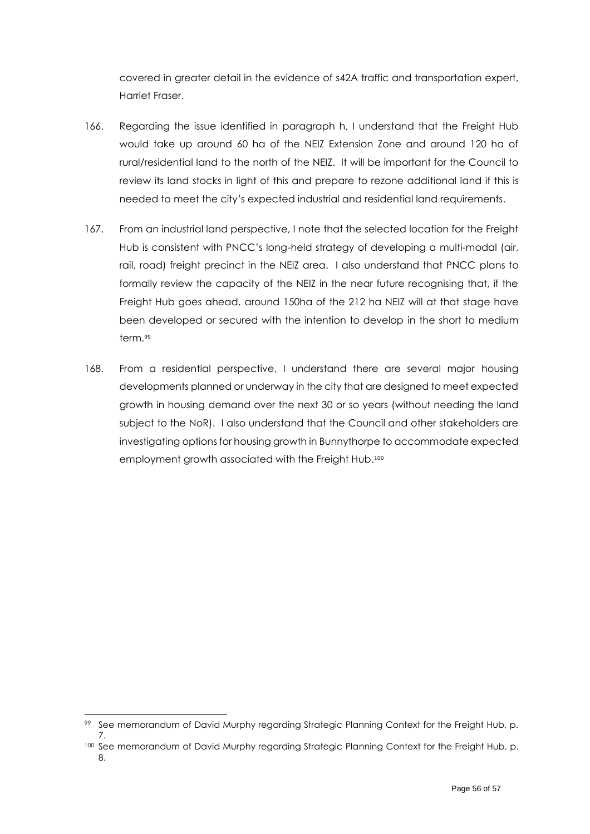covered in greater detail in the evidence of s42A traffic and transportation expert, Harriet Fraser.

- 166. Regarding the issue identified in paragraph h, I understand that the Freight Hub would take up around 60 ha of the NEIZ Extension Zone and around 120 ha of rural/residential land to the north of the NEIZ. It will be important for the Council to review its land stocks in light of this and prepare to rezone additional land if this is needed to meet the city's expected industrial and residential land requirements.
- 167. From an industrial land perspective, I note that the selected location for the Freight Hub is consistent with PNCC's long-held strategy of developing a multi-modal (air, rail, road) freight precinct in the NEIZ area. I also understand that PNCC plans to formally review the capacity of the NEIZ in the near future recognising that, if the Freight Hub goes ahead, around 150ha of the 212 ha NEIZ will at that stage have been developed or secured with the intention to develop in the short to medium term. 99
- 168. From a residential perspective, I understand there are several major housing developments planned or underway in the city that are designed to meet expected growth in housing demand over the next 30 or so years (without needing the land subject to the NoR). I also understand that the Council and other stakeholders are investigating options for housing growth in Bunnythorpe to accommodate expected employment growth associated with the Freight Hub.100

<sup>99</sup> See memorandum of David Murphy regarding Strategic Planning Context for the Freight Hub, p. 7.

<sup>100</sup> See memorandum of David Murphy regarding Strategic Planning Context for the Freight Hub, p. 8.